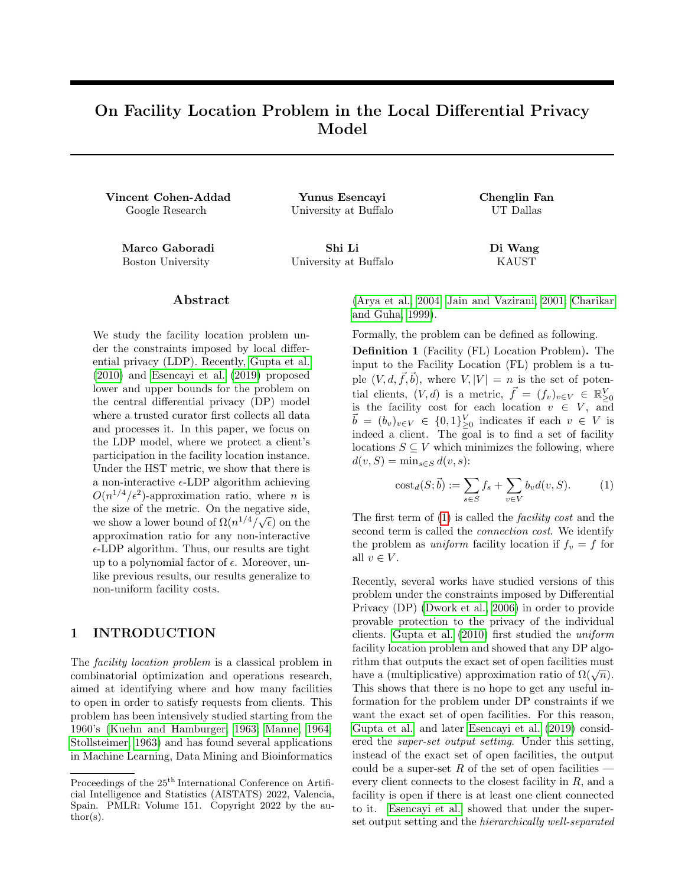# On Facility Location Problem in the Local Differential Privacy Model

Vincent Cohen-Addad Yunus Esencayi Chenglin Fan Google Research University at Buffalo UT Dallas

Marco Gaboradi Shi Li Di Wang Boston University University at Buffalo KAUST

#### ${\rm Abstract}$

We study the facility location problem under the constraints imposed by local differential privacy (LDP). Recently, [Gupta et al.](#page-8-0) [\(2010\)](#page-8-0) and [Esencayi et al.](#page-8-1) [\(2019\)](#page-8-1) proposed lower and upper bounds for the problem on the central differential privacy (DP) model where a trusted curator first collects all data and processes it. In this paper, we focus on the LDP model, where we protect a client's participation in the facility location instance. Under the HST metric, we show that there is a non-interactive  $\epsilon$ -LDP algorithm achieving  $O(n^{1/4}/\epsilon^2)$ -approximation ratio, where *n* is the size of the metric. On the negative side, we show a lower bound of  $\Omega(n^{1/4}/\sqrt{\epsilon})$  on the approximation ratio for any non-interactive  $\epsilon$ -LDP algorithm. Thus, our results are tight up to a polynomial factor of  $\epsilon$ . Moreover, unlike previous results, our results generalize to non-uniform facility costs.

## 1 INTRODUCTION

The facility location problem is a classical problem in combinatorial optimization and operations research, aimed at identifying where and how many facilities to open in order to satisfy requests from clients. This problem has been intensively studied starting from the 1960's [\(Kuehn and Hamburger, 1963;](#page-9-0) [Manne, 1964;](#page-9-1) [Stollsteimer, 1963\)](#page-9-2) and has found several applications in Machine Learning, Data Mining and Bioinformatics [\(Arya et al., 2004;](#page-8-2) [Jain and Vazirani, 2001;](#page-9-3) [Charikar](#page-8-3) [and Guha, 1999\)](#page-8-3).

Formally, the problem can be defined as following.

Definition 1 (Facility (FL) Location Problem). The input to the Facility Location (FL) problem is a tuple  $(V, d, \vec{f}, \vec{b})$ , where  $V, |V| = n$  is the set of potential clients,  $(V, d)$  is a metric,  $\vec{f} = (f_v)_{v \in V} \in \mathbb{R}_{\geq 0}^V$ is the facility cost for each location  $v \in V$ , and  $\vec{b} = (b_v)_{v \in V} \in \{0,1\}_{\geq 0}^V$  indicates if each  $v \in V$  is indeed a client. The goal is to find a set of facility locations  $S \subseteq V$  which minimizes the following, where  $d(v, S) = \min_{s \in S} d(v, s)$ :

<span id="page-0-0"></span>
$$
\text{cost}_d(S; \vec{b}) := \sum_{s \in S} f_s + \sum_{v \in V} b_v d(v, S). \tag{1}
$$

The first term of [\(1\)](#page-0-0) is called the facility cost and the second term is called the connection cost. We identify the problem as *uniform* facility location if  $f_v = f$  for all  $v \in V$ .

Recently, several works have studied versions of this problem under the constraints imposed by Differential Privacy (DP) [\(Dwork et al., 2006\)](#page-8-4) in order to provide provable protection to the privacy of the individual clients. [Gupta et al.](#page-8-0) [\(2010\)](#page-8-0) first studied the uniform facility location problem and showed that any DP algorithm that outputs the exact set of open facilities must have a (multiplicative) approximation ratio of  $\Omega(\sqrt{n})$ . This shows that there is no hope to get any useful information for the problem under DP constraints if we want the exact set of open facilities. For this reason, [Gupta et al.](#page-8-0) and later [Esencayi et al.](#page-8-1) [\(2019\)](#page-8-1) considered the super-set output setting. Under this setting, instead of the exact set of open facilities, the output could be a super-set  $R$  of the set of open facilities  $-\frac{1}{2}$ every client connects to the closest facility in R, and a facility is open if there is at least one client connected to it. [Esencayi et al.](#page-8-1) showed that under the superset output setting and the hierarchically well-separated

Proceedings of the  $25^{\mathrm{th}}$  International Conference on Artificial Intelligence and Statistics (AISTATS) 2022, Valencia, Spain. PMLR: Volume 151. Copyright 2022 by the au- $\text{thor}(s)$ .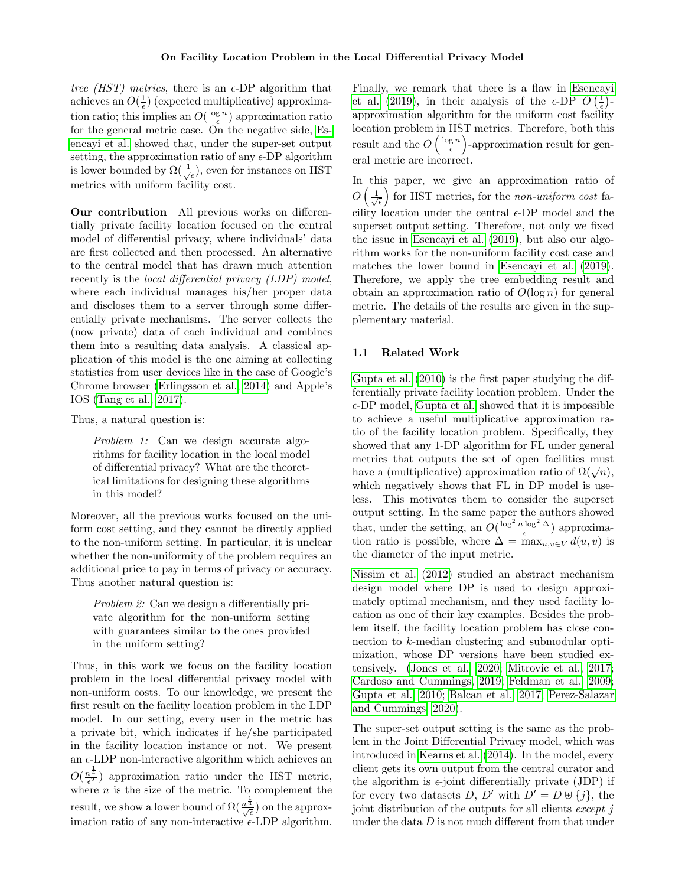tree *(HST)* metrics, there is an  $\epsilon$ -DP algorithm that achieves an  $O(\frac{1}{\epsilon})$  (expected multiplicative) approximation ratio; this implies an  $O(\frac{\log n}{\epsilon})$  approximation ratio for the general metric case. On the negative side, [Es](#page-8-1)[encayi et al.](#page-8-1) showed that, under the super-set output setting, the approximation ratio of any  $\epsilon$ -DP algorithm is lower bounded by  $\Omega(\frac{1}{\sqrt{\epsilon}})$ , even for instances on HST metrics with uniform facility cost.

Our contribution All previous works on differentially private facility location focused on the central model of differential privacy, where individuals' data are first collected and then processed. An alternative to the central model that has drawn much attention recently is the *local differential privacy (LDP)* model, where each individual manages his/her proper data and discloses them to a server through some differentially private mechanisms. The server collects the (now private) data of each individual and combines them into a resulting data analysis. A classical application of this model is the one aiming at collecting statistics from user devices like in the case of Google's Chrome browser [\(Erlingsson et al., 2014\)](#page-8-5) and Apple's IOS [\(Tang et al., 2017\)](#page-9-4).

Thus, a natural question is:

Problem 1: Can we design accurate algorithms for facility location in the local model of differential privacy? What are the theoretical limitations for designing these algorithms in this model?

Moreover, all the previous works focused on the uniform cost setting, and they cannot be directly applied to the non-uniform setting. In particular, it is unclear whether the non-uniformity of the problem requires an additional price to pay in terms of privacy or accuracy. Thus another natural question is:

Problem 2: Can we design a differentially private algorithm for the non-uniform setting with guarantees similar to the ones provided in the uniform setting?

Thus, in this work we focus on the facility location problem in the local differential privacy model with non-uniform costs. To our knowledge, we present the first result on the facility location problem in the LDP model. In our setting, every user in the metric has a private bit, which indicates if he/she participated in the facility location instance or not. We present an  $\epsilon$ -LDP non-interactive algorithm which achieves an  $O(\frac{n^{\frac{1}{4}}}{\epsilon^2})$  approximation ratio under the HST metric, where  $n$  is the size of the metric. To complement the result, we show a lower bound of  $\Omega(\frac{n^{\frac{1}{4}}}{\sqrt{\epsilon}})$  on the approximation ratio of any non-interactive  $\epsilon$ -LDP algorithm.

Finally, we remark that there is a flaw in [Esencayi](#page-8-1) [et al.](#page-8-1) [\(2019\)](#page-8-1), in their analysis of the  $\epsilon$ -DP  $O\left(\frac{1}{\epsilon}\right)$ approximation algorithm for the uniform cost facility location problem in HST metrics. Therefore, both this result and the  $O\left(\frac{\log n}{\epsilon}\right)$ -approximation result for general metric are incorrect.

In this paper, we give an approximation ratio of  $O\left(\frac{1}{\sqrt{\epsilon}}\right)$  for HST metrics, for the non-uniform cost facility location under the central  $\epsilon$ -DP model and the superset output setting. Therefore, not only we fixed the issue in [Esencayi et al.](#page-8-1) [\(2019\)](#page-8-1), but also our algorithm works for the non-uniform facility cost case and matches the lower bound in [Esencayi et al.](#page-8-1) [\(2019\)](#page-8-1). Therefore, we apply the tree embedding result and obtain an approximation ratio of  $O(\log n)$  for general metric. The details of the results are given in the supplementary material.

### 1.1 Related Work

[Gupta et al.](#page-8-0) [\(2010\)](#page-8-0) is the first paper studying the differentially private facility location problem. Under the  $\epsilon$ -DP model, [Gupta et al.](#page-8-0) showed that it is impossible to achieve a useful multiplicative approximation ratio of the facility location problem. Specifically, they showed that any 1-DP algorithm for FL under general metrics that outputs the set of open facilities must metrics that outputs the set of open factnities must<br>have a (multiplicative) approximation ratio of  $\Omega(\sqrt{n})$ , which negatively shows that FL in DP model is useless. This motivates them to consider the superset output setting. In the same paper the authors showed that, under the setting, an  $O(\frac{\log^2 n \log^2 \Delta}{\epsilon})$  approximation ratio is possible, where  $\Delta = \max_{u,v \in V} d(u,v)$  is the diameter of the input metric.

[Nissim et al.](#page-9-5) [\(2012\)](#page-9-5) studied an abstract mechanism design model where DP is used to design approximately optimal mechanism, and they used facility location as one of their key examples. Besides the problem itself, the facility location problem has close connection to k-median clustering and submodular optimization, whose DP versions have been studied extensively. [\(Jones et al., 2020;](#page-9-6) [Mitrovic et al., 2017;](#page-9-7) [Cardoso and Cummings, 2019;](#page-8-6) [Feldman et al., 2009;](#page-8-7) [Gupta et al., 2010;](#page-8-0) [Balcan et al., 2017;](#page-8-8) [Perez-Salazar](#page-9-8) [and Cummings, 2020\)](#page-9-8).

The super-set output setting is the same as the problem in the Joint Differential Privacy model, which was introduced in [Kearns et al.](#page-9-9) [\(2014\)](#page-9-9). In the model, every client gets its own output from the central curator and the algorithm is  $\epsilon$ -joint differentially private (JDP) if for every two datasets D, D' with  $D' = D \oplus \{j\}$ , the joint distribution of the outputs for all clients except j under the data  $D$  is not much different from that under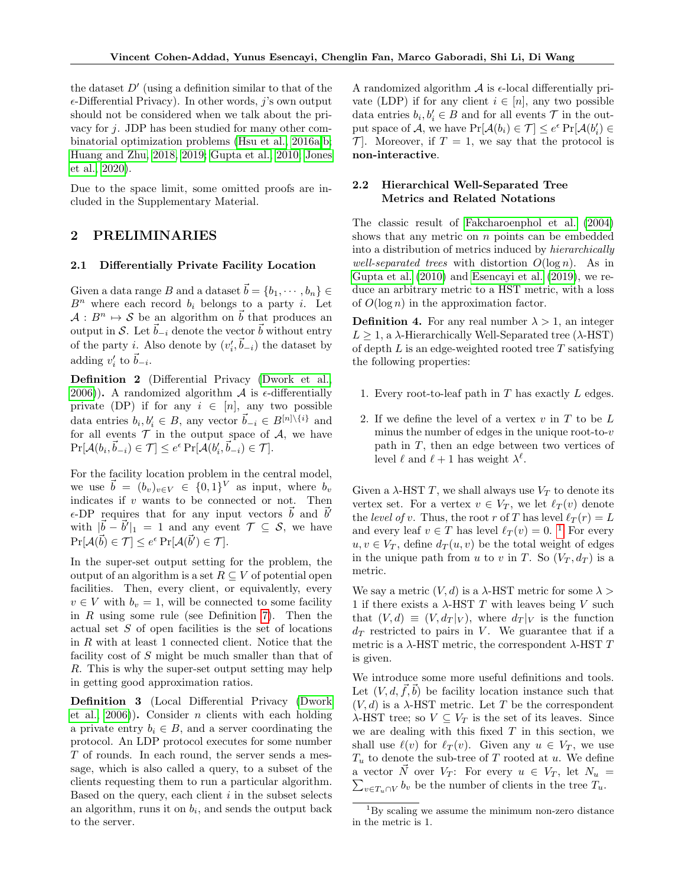the dataset  $D'$  (using a definition similar to that of the  $\epsilon$ -Differential Privacy). In other words, j's own output should not be considered when we talk about the privacy for  $j$ . JDP has been studied for many other combinatorial optimization problems [\(Hsu et al., 2016a,](#page-8-9)[b;](#page-8-10) [Huang and Zhu, 2018,](#page-8-11) [2019;](#page-9-10) [Gupta et al., 2010;](#page-8-0) [Jones](#page-9-6) [et al., 2020\)](#page-9-6).

Due to the space limit, some omitted proofs are included in the Supplementary Material.

## 2 PRELIMINARIES

#### 2.1 Differentially Private Facility Location

Given a data range B and a dataset  $\vec{b} = \{b_1, \cdots, b_n\}$  $B<sup>n</sup>$  where each record  $b<sub>i</sub>$  belongs to a party *i*. Let  $A : B^n \to S$  be an algorithm on b that produces an output in S. Let  $\vec{b}_{-i}$  denote the vector  $\vec{b}$  without entry of the party *i*. Also denote by  $(v'_i, \vec{b}_{-i})$  the dataset by adding  $v'_i$  to  $\vec{b}_{-i}$ .

Definition 2 (Differential Privacy [\(Dwork et al.,](#page-8-4) [2006\)](#page-8-4)). A randomized algorithm  $\mathcal A$  is  $\epsilon$ -differentially private (DP) if for any  $i \in [n]$ , any two possible data entries  $b_i, b'_i \in B$ , any vector  $\vec{b}_{-i} \in B^{[n]\setminus\{i\}}$  and for all events  $\mathcal T$  in the output space of  $\mathcal A$ , we have  $\Pr[\mathcal{A}(b_i, \vec{b}_{-i}) \in \mathcal{T}] \leq e^{\epsilon} \Pr[\mathcal{A}(b'_i, \vec{b}_{-i}) \in \mathcal{T}].$ 

For the facility location problem in the central model, we use  $\vec{b} = (b_v)_{v \in V} \in \{0,1\}^V$  as input, where  $b_v$ indicates if  $v$  wants to be connected or not. Then  $\epsilon$ -DP requires that for any input vectors  $\vec{b}$  and  $\vec{b}'$ with  $|\vec{b} - \vec{b}'|_1 = 1$  and any event  $\mathcal{T} \subseteq \mathcal{S}$ , we have  $\Pr[\mathcal{A}(\vec{b}) \in \mathcal{T}] \leq e^{\epsilon} \Pr[\mathcal{A}(\vec{b}') \in \mathcal{T}].$ 

In the super-set output setting for the problem, the output of an algorithm is a set  $R \subseteq V$  of potential open facilities. Then, every client, or equivalently, every  $v \in V$  with  $b_v = 1$ , will be connected to some facility in  $R$  using some rule (see Definition [7\)](#page-3-0). Then the actual set S of open facilities is the set of locations in R with at least 1 connected client. Notice that the facility cost of S might be much smaller than that of R. This is why the super-set output setting may help in getting good approximation ratios.

Definition 3 (Local Differential Privacy [\(Dwork](#page-8-4) et al.,  $2006$ )). Consider *n* clients with each holding a private entry  $b_i \in B$ , and a server coordinating the protocol. An LDP protocol executes for some number  $T$  of rounds. In each round, the server sends a message, which is also called a query, to a subset of the clients requesting them to run a particular algorithm. Based on the query, each client  $i$  in the subset selects an algorithm, runs it on  $b_i$ , and sends the output back to the server.

A randomized algorithm  $\mathcal A$  is  $\epsilon$ -local differentially private (LDP) if for any client  $i \in [n]$ , any two possible data entries  $b_i, b'_i \in B$  and for all events  $\mathcal T$  in the output space of A, we have  $Pr[\mathcal{A}(b_i) \in \mathcal{T}] \leq e^{\epsilon} Pr[\mathcal{A}(b'_i) \in$  $\mathcal{T}$ . Moreover, if  $T = 1$ , we say that the protocol is non-interactive.

### 2.2 Hierarchical Well-Separated Tree Metrics and Related Notations

The classic result of [Fakcharoenphol et al.](#page-8-12) [\(2004\)](#page-8-12) shows that any metric on  $n$  points can be embedded into a distribution of metrics induced by hierarchically well-separated trees with distortion  $O(\log n)$ . As in [Gupta et al.](#page-8-0) [\(2010\)](#page-8-0) and [Esencayi et al.](#page-8-1) [\(2019\)](#page-8-1), we reduce an arbitrary metric to a HST metric, with a loss of  $O(\log n)$  in the approximation factor.

**Definition 4.** For any real number  $\lambda > 1$ , an integer  $L \geq 1$ , a  $\lambda$ -Hierarchically Well-Separated tree ( $\lambda$ -HST) of depth  $L$  is an edge-weighted rooted tree  $T$  satisfying the following properties:

- 1. Every root-to-leaf path in  $T$  has exactly  $L$  edges.
- 2. If we define the level of a vertex  $v$  in  $T$  to be  $L$ minus the number of edges in the unique root-to- $v$ path in T, then an edge between two vertices of level  $\ell$  and  $\ell + 1$  has weight  $\lambda^{\ell}$ .

Given a  $\lambda$ -HST T, we shall always use  $V_T$  to denote its vertex set. For a vertex  $v \in V_T$ , we let  $\ell_T (v)$  denote the level of v. Thus, the root r of T has level  $\ell_T(r) = L$ and every leaf  $v \in T$  has level  $\ell_T (v) = 0$ . <sup>[1](#page-2-0)</sup> For every  $u, v \in V_T$ , define  $d_T(u, v)$  be the total weight of edges in the unique path from u to v in T. So  $(V_T, d_T)$  is a metric.

We say a metric  $(V, d)$  is a  $\lambda$ -HST metric for some  $\lambda >$ 1 if there exists a  $\lambda$ -HST T with leaves being V such that  $(V, d) \equiv (V, d_T|_V)$ , where  $d_T|_V$  is the function  $d_T$  restricted to pairs in V. We guarantee that if a metric is a  $\lambda$ -HST metric, the correspondent  $\lambda$ -HST T is given.

We introduce some more useful definitions and tools. Let  $(V, d, \vec{f}, \vec{b})$  be facility location instance such that  $(V, d)$  is a  $\lambda$ -HST metric. Let T be the correspondent  $\lambda$ -HST tree; so  $V \subseteq V_T$  is the set of its leaves. Since we are dealing with this fixed  $T$  in this section, we shall use  $\ell(v)$  for  $\ell_T (v)$ . Given any  $u \in V_T$ , we use  $T_u$  to denote the sub-tree of T rooted at u. We define a vector  $\vec{N}$  over  $V_T$ : For every  $u \in V_T$ , let  $N_u =$  $\sum_{v \in T_u \cap V} b_v$  be the number of clients in the tree  $T_u$ .

<span id="page-2-0"></span><sup>&</sup>lt;sup>1</sup>By scaling we assume the minimum non-zero distance in the metric is 1.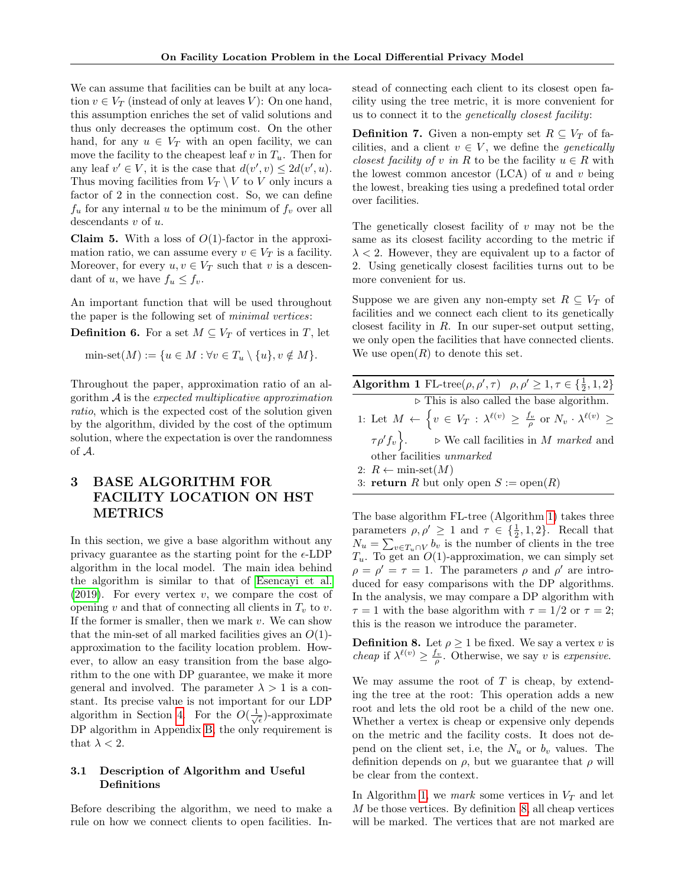We can assume that facilities can be built at any location  $v \in V_T$  (instead of only at leaves V): On one hand, this assumption enriches the set of valid solutions and thus only decreases the optimum cost. On the other hand, for any  $u \in V_T$  with an open facility, we can move the facility to the cheapest leaf v in  $T_u$ . Then for any leaf  $v' \in V$ , it is the case that  $d(v', v) \leq 2d(v', u)$ . Thus moving facilities from  $V_T \setminus V$  to V only incurs a factor of 2 in the connection cost. So, we can define  $f_u$  for any internal u to be the minimum of  $f_v$  over all descendants  $v$  of  $u$ .

**Claim 5.** With a loss of  $O(1)$ -factor in the approximation ratio, we can assume every  $v \in V_T$  is a facility. Moreover, for every  $u, v \in V_T$  such that v is a descendant of u, we have  $f_u \leq f_v$ .

An important function that will be used throughout the paper is the following set of minimal vertices:

**Definition 6.** For a set  $M \subseteq V_T$  of vertices in T, let

min-set $(M) := \{u \in M : \forall v \in T_u \setminus \{u\}, v \notin M\}.$ 

Throughout the paper, approximation ratio of an algorithm  $A$  is the expected multiplicative approximation ratio, which is the expected cost of the solution given by the algorithm, divided by the cost of the optimum solution, where the expectation is over the randomness of A.

# <span id="page-3-3"></span>3 BASE ALGORITHM FOR FACILITY LOCATION ON HST METRICS

In this section, we give a base algorithm without any privacy guarantee as the starting point for the  $\epsilon$ -LDP algorithm in the local model. The main idea behind the algorithm is similar to that of [Esencayi et al.](#page-8-1)  $(2019)$ . For every vertex v, we compare the cost of opening v and that of connecting all clients in  $T_v$  to v. If the former is smaller, then we mark  $v$ . We can show that the min-set of all marked facilities gives an  $O(1)$ approximation to the facility location problem. However, to allow an easy transition from the base algorithm to the one with DP guarantee, we make it more general and involved. The parameter  $\lambda > 1$  is a constant. Its precise value is not important for our LDP algorithm in Section [4.](#page-5-0) For the  $O(\frac{1}{\sqrt{\epsilon}})$ -approximate DP algorithm in Appendix [B,](#page-12-0) the only requirement is that  $\lambda < 2$ .

## 3.1 Description of Algorithm and Useful Definitions

Before describing the algorithm, we need to make a rule on how we connect clients to open facilities. Instead of connecting each client to its closest open facility using the tree metric, it is more convenient for us to connect it to the genetically closest facility:

<span id="page-3-0"></span>**Definition 7.** Given a non-empty set  $R \subseteq V_T$  of facilities, and a client  $v \in V$ , we define the *genetically* closest facility of v in R to be the facility  $u \in R$  with the lowest common ancestor  $(LCA)$  of u and v being the lowest, breaking ties using a predefined total order over facilities.

The genetically closest facility of  $v$  may not be the same as its closest facility according to the metric if  $\lambda$  < 2. However, they are equivalent up to a factor of 2. Using genetically closest facilities turns out to be more convenient for us.

Suppose we are given any non-empty set  $R \subseteq V_T$  of facilities and we connect each client to its genetically closest facility in  $R$ . In our super-set output setting, we only open the facilities that have connected clients. We use  $open(R)$  to denote this set.

<span id="page-3-1"></span>

| Algorithm 1 FL-tree( $\rho$ , $\rho'$ , $\tau$ ) $\rho$ , $\rho' \geq 1$ , $\tau \in \{\frac{1}{2}, 1, 2\}$                             |
|-----------------------------------------------------------------------------------------------------------------------------------------|
| $\triangleright$ This is also called the base algorithm.                                                                                |
| 1: Let $M \leftarrow \left\{ v \in V_T : \lambda^{\ell(v)} \geq \frac{f_v}{\rho} \text{ or } N_v \cdot \lambda^{\ell(v)} \geq \right\}$ |
| $\tau \rho' f_v$ . $\triangleright$ We call facilities in M marked and                                                                  |
| other facilities unmarked                                                                                                               |
| 2: $R \leftarrow min\text{-}set(M)$                                                                                                     |
| 3: <b>return</b> R but only open $S := \text{open}(R)$                                                                                  |

The base algorithm FL-tree (Algorithm [1\)](#page-3-1) takes three parameters  $\rho, \rho' \geq 1$  and  $\tau \in \{\frac{1}{2}, 1, 2\}$ . Recall that  $N_u = \sum_{v \in T_u \cap V} b_v$  is the number of clients in the tree  $T_u$ . To get an  $O(1)$ -approximation, we can simply set  $\rho = \rho' = \tau = 1$ . The parameters  $\rho$  and  $\rho'$  are introduced for easy comparisons with the DP algorithms. In the analysis, we may compare a DP algorithm with  $\tau = 1$  with the base algorithm with  $\tau = 1/2$  or  $\tau = 2$ ; this is the reason we introduce the parameter.

<span id="page-3-2"></span>**Definition 8.** Let  $\rho \geq 1$  be fixed. We say a vertex v is *cheap* if  $\lambda^{\ell(v)} \geq \frac{f_v}{\rho}$ . Otherwise, we say v is expensive.

We may assume the root of  $T$  is cheap, by extending the tree at the root: This operation adds a new root and lets the old root be a child of the new one. Whether a vertex is cheap or expensive only depends on the metric and the facility costs. It does not depend on the client set, i.e, the  $N_u$  or  $b_v$  values. The definition depends on  $\rho$ , but we guarantee that  $\rho$  will be clear from the context.

In Algorithm [1,](#page-3-1) we mark some vertices in  $V_T$  and let M be those vertices. By definition [8,](#page-3-2) all cheap vertices will be marked. The vertices that are not marked are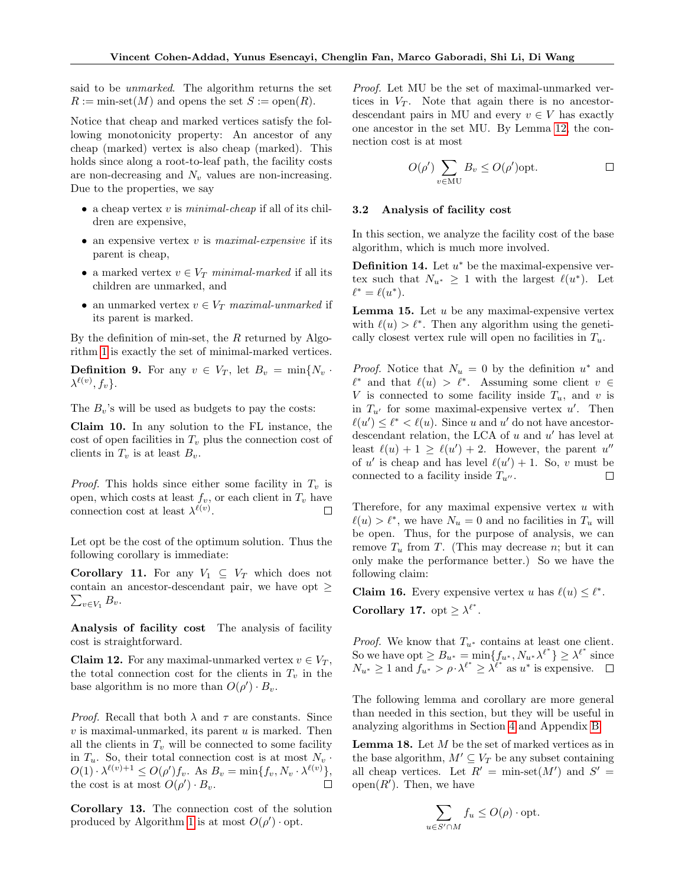said to be unmarked. The algorithm returns the set  $R := \min\text{-set}(M)$  and opens the set  $S := \text{open}(R)$ .

Notice that cheap and marked vertices satisfy the following monotonicity property: An ancestor of any cheap (marked) vertex is also cheap (marked). This holds since along a root-to-leaf path, the facility costs are non-decreasing and  $N_v$  values are non-increasing. Due to the properties, we say

- a cheap vertex  $v$  is *minimal-cheap* if all of its children are expensive,
- an expensive vertex  $v$  is maximal-expensive if its parent is cheap,
- a marked vertex  $v \in V_T$  minimal-marked if all its children are unmarked, and
- $\bullet\,$ an unmarked vertex $v\in V_T$   $\it maximal\text{-}unmarked$  if its parent is marked.

By the definition of min-set, the  $R$  returned by Algorithm [1](#page-3-1) is exactly the set of minimal-marked vertices.

**Definition 9.** For any  $v \in V_T$ , let  $B_v = \min\{N_v\}$ .  $\lambda^{\ell(v)}, f_v\}.$ 

The  $B_v$ 's will be used as budgets to pay the costs:

Claim 10. In any solution to the FL instance, the cost of open facilities in  $T_v$  plus the connection cost of clients in  $T_v$  is at least  $B_v$ .

*Proof.* This holds since either some facility in  $T_v$  is open, which costs at least  $f_v$ , or each client in  $T_v$  have connection cost at least  $\lambda^{\ell(v)}$ .

Let opt be the cost of the optimum solution. Thus the following corollary is immediate:

<span id="page-4-1"></span>**Corollary 11.** For any  $V_1 \subseteq V_T$  which does not contain an ancestor-descendant pair, we have opt  $\geq$  $\sum_{v\in V_1} B_v.$ 

Analysis of facility cost The analysis of facility cost is straightforward.

<span id="page-4-0"></span>**Claim 12.** For any maximal-unmarked vertex  $v \in V_T$ , the total connection cost for the clients in  $T_v$  in the base algorithm is no more than  $O(\rho') \cdot B_v$ .

*Proof.* Recall that both  $\lambda$  and  $\tau$  are constants. Since  $v$  is maximal-unmarked, its parent  $u$  is marked. Then all the clients in  $T_v$  will be connected to some facility in  $T_u$ . So, their total connection cost is at most  $N_v$ .  $O(1) \cdot \lambda^{\ell(v)+1} \leq O(\rho')f_v$ . As  $B_v = \min\{f_v, N_v \cdot \lambda^{\ell(v)}\},$ the cost is at most  $O(\rho') \cdot B_v$ .  $\Box$ 

Corollary 13. The connection cost of the solution produced by Algorithm [1](#page-3-1) is at most  $O(\rho') \cdot opt$ .

Proof. Let MU be the set of maximal-unmarked vertices in  $V_T$ . Note that again there is no ancestordescendant pairs in MU and every  $v \in V$  has exactly one ancestor in the set MU. By Lemma [12,](#page-4-0) the connection cost is at most

$$
O(\rho')\sum_{v\in\mathrm{MU}}B_v\leq O(\rho')\mathrm{opt.}\qquad \qquad \Box
$$

#### 3.2 Analysis of facility cost

In this section, we analyze the facility cost of the base algorithm, which is much more involved.

**Definition 14.** Let  $u^*$  be the maximal-expensive vertex such that  $N_{u^*} \geq 1$  with the largest  $\ell(u^*)$ . Let  $\ell^* = \ell(u^*).$ 

**Lemma 15.** Let  $u$  be any maximal-expensive vertex with  $\ell(u) > \ell^*$ . Then any algorithm using the genetically closest vertex rule will open no facilities in  $T_u$ .

*Proof.* Notice that  $N_u = 0$  by the definition  $u^*$  and  $\ell^*$  and that  $\ell(u) > \ell^*$ . Assuming some client  $v \in$ V is connected to some facility inside  $T_u$ , and v is in  $T_{u'}$  for some maximal-expensive vertex u'. Then  $\ell(u') \leq \ell^* < \ell(u)$ . Since u and u' do not have ancestordescendant relation, the LCA of  $u$  and  $u'$  has level at least  $\ell(u) + 1 \geq \ell(u') + 2$ . However, the parent u'' of u' is cheap and has level  $\ell(u') + 1$ . So, v must be connected to a facility inside  $T_{u''}$ .  $\Box$ 

Therefore, for any maximal expensive vertex  $u$  with  $\ell(u) > \ell^*$ , we have  $N_u = 0$  and no facilities in  $T_u$  will be open. Thus, for the purpose of analysis, we can remove  $T_u$  from T. (This may decrease n; but it can only make the performance better.) So we have the following claim:

<span id="page-4-4"></span><span id="page-4-3"></span>**Claim 16.** Every expensive vertex u has  $\ell(u) \leq \ell^*$ . Corollary 17. opt  $\geq \lambda^{\ell^*}$ .

*Proof.* We know that  $T_{u^*}$  contains at least one client. So we have opt  $\geq B_{u^*} = \min\{f_{u^*}, N_{u^*}\lambda^{\ell^*}\}\geq \lambda^{\ell^*}$  since  $N_{u^*} \geq 1$  and  $f_{u^*} > \rho \cdot \lambda^{\ell^*} \geq \lambda^{\ell^*}$  as  $u^*$  is expensive.

The following lemma and corollary are more general than needed in this section, but they will be useful in analyzing algorithms in Section [4](#page-5-0) and Appendix [B.](#page-12-0)

<span id="page-4-2"></span>**Lemma 18.** Let  $M$  be the set of marked vertices as in the base algorithm,  $M' \subseteq V_T$  be any subset containing all cheap vertices. Let  $R' = \min\text{-set}(M')$  and  $S' =$ open $(R')$ . Then, we have

$$
\sum_{u \in S' \cap M} f_u \le O(\rho) \cdot \text{opt.}
$$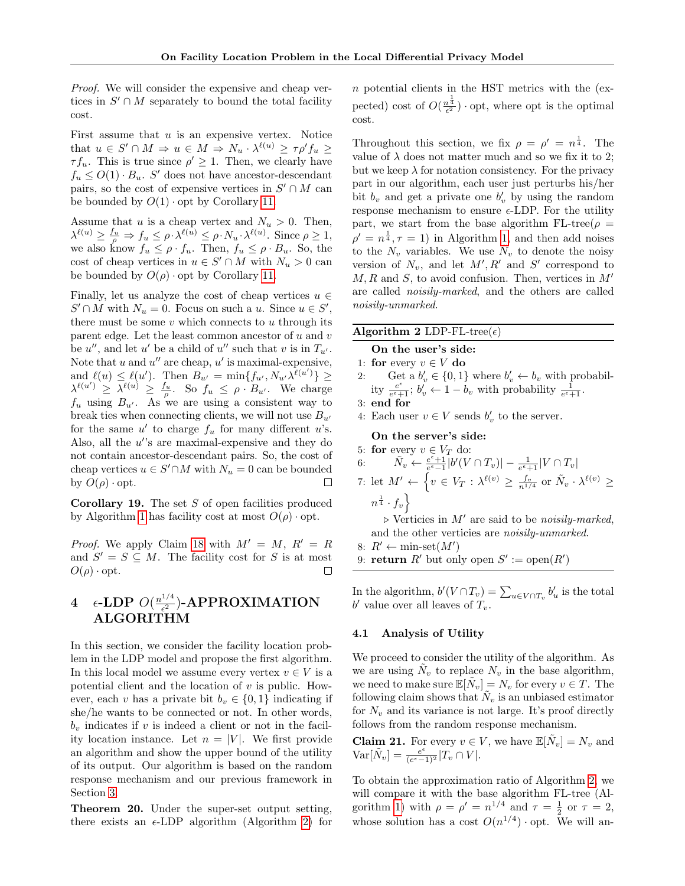Proof. We will consider the expensive and cheap vertices in  $S' \cap M$  separately to bound the total facility cost.

First assume that  $u$  is an expensive vertex. Notice that  $u \in S' \cap M \Rightarrow u \in M \Rightarrow N_u \cdot \lambda^{\ell(u)} \geq \tau \rho' f_u \geq$  $\tau f_u$ . This is true since  $\rho' \geq 1$ . Then, we clearly have  $f_u \leq O(1) \cdot B_u$ . S' does not have ancestor-descendant pairs, so the cost of expensive vertices in  $S' \cap M$  can be bounded by  $O(1) \cdot \text{opt}$  by Corollary [11.](#page-4-1)

Assume that u is a cheap vertex and  $N_u > 0$ . Then,  $\lambda^{\ell(u)} \geq \frac{f_u}{\rho} \Rightarrow f_u \leq \rho \cdot \lambda^{\ell(u)} \leq \rho \cdot N_u \cdot \lambda^{\ell(u)}$ . Since  $\rho \geq 1$ , we also know  $f_u \leq \rho \cdot f_u$ . Then,  $f_u \leq \rho \cdot B_u$ . So, the cost of cheap vertices in  $u \in S' \cap M$  with  $N_u > 0$  can be bounded by  $O(\rho)$  opt by Corollary [11.](#page-4-1)

Finally, let us analyze the cost of cheap vertices  $u \in$  $S' \cap M$  with  $N_u = 0$ . Focus on such a u. Since  $u \in S'$ , there must be some  $v$  which connects to  $u$  through its parent edge. Let the least common ancestor of  $u$  and  $v$ be  $u''$ , and let u' be a child of u'' such that v is in  $T_{u'}$ . Note that u and  $u''$  are cheap,  $u'$  is maximal-expensive, and  $\ell(u) \leq \ell(u')$ . Then  $B_{u'} = \min\{f_{u'}, N_{u'}\lambda^{\ell(u')}\}$  $\lambda^{\ell(u')} \geq \overline{\lambda^{\ell(u)}} \geq \frac{f_u}{\rho}$ . So  $f_u \leq \rho \cdot B_{u'}$ . We charge  $f_u$  using  $B_{u'}$ . As we are using a consistent way to break ties when connecting clients, we will not use  $B_{u'}$ for the same  $u'$  to charge  $f_u$  for many different u's. Also, all the  $u$ 's are maximal-expensive and they do not contain ancestor-descendant pairs. So, the cost of cheap vertices  $u \in S' \cap M$  with  $N_u = 0$  can be bounded by  $O(\rho) \cdot \text{opt.}$  $\Box$ 

**Corollary 19.** The set  $S$  of open facilities produced by Algorithm [1](#page-3-1) has facility cost at most  $O(\rho) \cdot \text{opt}$ .

*Proof.* We apply Claim [18](#page-4-2) with  $M' = M$ ,  $R' = R$ and  $S' = S \subseteq M$ . The facility cost for S is at most  $O(\rho) \cdot \mathrm{opt}.$  $\Box$ 

#### <span id="page-5-0"></span> $4$   $\epsilon$ -LDP  $O(\frac{n^{1/4}}{\epsilon^2})$  $\frac{1/4}{\epsilon^2}$ )-APPROXIMATION ALGORITHM

In this section, we consider the facility location problem in the LDP model and propose the first algorithm. In this local model we assume every vertex  $v \in V$  is a potential client and the location of  $v$  is public. However, each v has a private bit  $b_v \in \{0, 1\}$  indicating if she/he wants to be connected or not. In other words,  $b_v$  indicates if v is indeed a client or not in the facility location instance. Let  $n = |V|$ . We first provide an algorithm and show the upper bound of the utility of its output. Our algorithm is based on the random response mechanism and our previous framework in Section [3.](#page-3-3)

Theorem 20. Under the super-set output setting, there exists an  $\epsilon$ -LDP algorithm (Algorithm [2\)](#page-5-1) for n potential clients in the HST metrics with the (expected) cost of  $O(\frac{n^{\frac{1}{4}}}{\epsilon^2})$  opt, where opt is the optimal cost.

Throughout this section, we fix  $\rho = \rho' = n^{\frac{1}{4}}$ . The value of  $\lambda$  does not matter much and so we fix it to 2; but we keep  $\lambda$  for notation consistency. For the privacy part in our algorithm, each user just perturbs his/her bit  $b_v$  and get a private one  $b'_v$  by using the random response mechanism to ensure  $\epsilon$ -LDP. For the utility part, we start from the base algorithm FL-tree( $\rho =$  $\rho' = n^{\frac{1}{4}}, \tau = 1$  in Algorithm [1,](#page-3-1) and then add noises to the  $N_v$  variables. We use  $\tilde{N}_v$  to denote the noisy version of  $N_v$ , and let  $M', R'$  and  $S'$  correspond to  $M, R$  and  $S$ , to avoid confusion. Then, vertices in  $M'$ are called noisily-marked, and the others are called noisily-unmarked.

### <span id="page-5-1"></span>Algorithm 2 LDP-FL-tree( $\epsilon$ )

- On the user's side:
- 1: for every  $v \in V$  do
- 2: Get a  $b'_v \in \{0, 1\}$  where  $b'_v \leftarrow b_v$  with probability  $\frac{e^{\epsilon}}{e^{\epsilon}}$  $\frac{e^{\epsilon}}{e^{\epsilon}+1}$ ;  $b'_v \leftarrow 1-b_v$  with probability  $\frac{1}{e^{\epsilon}+1}$ .
- 3: end for
- 4: Each user  $v \in V$  sends  $b'_v$  to the server.

#### On the server's side:

5: for every  $v \in V_T$  do: 6:  $\tilde{N}_v \leftarrow \frac{e^{\epsilon}+1}{e^{\epsilon}-1} |b'(V \cap T_v)| - \frac{1}{e^{\epsilon}+1} |V \cap T_v|$ 7: let  $M' \leftarrow \left\{ v \in V_T : \lambda^{\ell(v)} \geq \frac{f_v}{n^{1/4}} \text{ or } \tilde{N}_v \cdot \lambda^{\ell(v)} \geq \right\}$  $n^{\frac{1}{4}}\cdot f_v\Big\}$  $\triangleright$  Verticies in M' are said to be noisily-marked,

and the other verticies are noisily-unmarked. 8:  $R' \leftarrow \min\text{-set}(M')$ 

9: **return**  $R'$  but only open  $S' := \text{open}(R')$ 

In the algorithm,  $b'(V \cap T_v) = \sum_{u \in V \cap T_v} b'_u$  is the total  $b'$  value over all leaves of  $T_v$ .

#### 4.1 Analysis of Utility

We proceed to consider the utility of the algorithm. As we are using  $\tilde{N}_v$  to replace  $N_v$  in the base algorithm, we need to make sure  $\mathbb{E}[\tilde{N}_v] = N_v$  for every  $v \in T$ . The following claim shows that  $\tilde{N}_v$  is an unbiased estimator for  $N_v$  and its variance is not large. It's proof directly follows from the random response mechanism.

<span id="page-5-2"></span>**Claim 21.** For every  $v \in V$ , we have  $\mathbb{E}[\tilde{N}_v] = N_v$  and  $\text{Var}[\tilde{N}_v] = \frac{e^{\epsilon}}{(e^{\epsilon}-1)}$  $\frac{e^{\epsilon}}{(e^{\epsilon}-1)^2}|T_v\cap V|.$ 

To obtain the approximation ratio of Algorithm [2,](#page-5-1) we will compare it with the base algorithm FL-tree (Al-gorithm [1\)](#page-3-1) with  $\rho = \rho' = n^{1/4}$  and  $\tau = \frac{1}{2}$  or  $\tau = 2$ , whose solution has a cost  $O(n^{1/4})$  opt. We will an-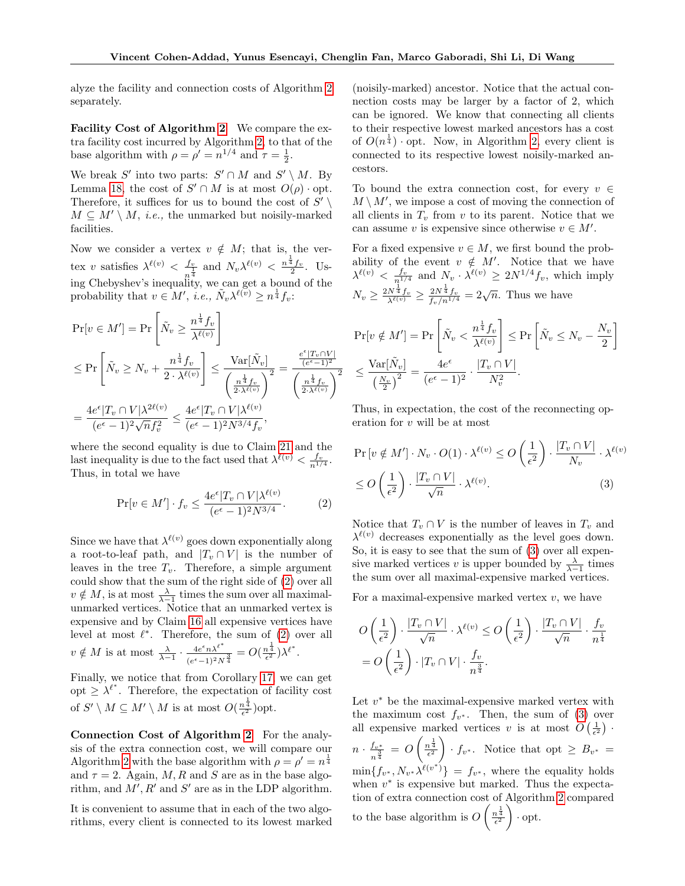alyze the facility and connection costs of Algorithm [2](#page-5-1) separately.

Facility Cost of Algorithm [2](#page-5-1) We compare the extra facility cost incurred by Algorithm [2,](#page-5-1) to that of the base algorithm with  $\rho = \rho' = n^{1/4}$  and  $\tau = \frac{1}{2}$ .

We break S' into two parts:  $S' \cap M$  and  $S' \setminus M$ . By Lemma [18,](#page-4-2) the cost of  $S' \cap M$  is at most  $O(\rho) \cdot \text{opt.}$ Therefore, it suffices for us to bound the cost of  $S' \setminus$  $M \subseteq M' \setminus M$ , *i.e.*, the unmarked but noisily-marked facilities.

Now we consider a vertex  $v \notin M$ ; that is, the vertex v satisfies  $\lambda^{\ell(v)} < \frac{f_v}{1}$  $\frac{f_v}{n^{\frac{1}{4}}}$  and  $N_v \lambda^{\ell(v)} < \frac{n^{\frac{1}{4}} f_v}{2}$ . Using Chebyshev's inequality, we can get a bound of the probability that  $v \in M'$ , *i.e.*,  $\tilde{N}_v \lambda^{\ell(v)} \geq n^{\frac{1}{4}} f_v$ :

$$
\Pr[v \in M'] = \Pr\left[\tilde{N}_v \ge \frac{n^{\frac{1}{4}} f_v}{\lambda^{\ell(v)}}\right]
$$
  
\n
$$
\le \Pr\left[\tilde{N}_v \ge N_v + \frac{n^{\frac{1}{4}} f_v}{2 \cdot \lambda^{\ell(v)}}\right] \le \frac{\text{Var}[\tilde{N}_v]}{\left(\frac{n^{\frac{1}{4}} f_v}{2 \cdot \lambda^{\ell(v)}}\right)^2} = \frac{\frac{e^{\epsilon} |T_v \cap V|}{(e^{\epsilon} - 1)^2}}{\left(\frac{n^{\frac{1}{4}} f_v}{2 \cdot \lambda^{\ell(v)}}\right)^2}
$$
  
\n
$$
= \frac{4e^{\epsilon} |T_v \cap V| \lambda^{2\ell(v)}}{(e^{\epsilon} - 1)^2 \sqrt{n} f_v^2} \le \frac{4e^{\epsilon} |T_v \cap V| \lambda^{\ell(v)}}{(e^{\epsilon} - 1)^2 N^{3/4} f_v},
$$

where the second equality is due to Claim [21](#page-5-2) and the last inequality is due to the fact used that  $\lambda^{\ell(v)} < \frac{f_v}{n^{1/4}}$ . Thus, in total we have

$$
\Pr[v \in M'] \cdot f_v \le \frac{4e^{\epsilon} |T_v \cap V| \lambda^{\ell(v)}}{(e^{\epsilon} - 1)^2 N^{3/4}}.
$$
 (2)

Since we have that  $\lambda^{\ell(v)}$  goes down exponentially along a root-to-leaf path, and  $|T_v \cap V|$  is the number of leaves in the tree  $T_v$ . Therefore, a simple argument could show that the sum of the right side of [\(2\)](#page-6-0) over all  $v \notin M$ , is at most  $\frac{\lambda}{\lambda-1}$  times the sum over all maximalunmarked vertices. Notice that an unmarked vertex is expensive and by Claim [16](#page-4-3) all expensive vertices have level at most  $\ell^*$ . Therefore, the sum of  $(2)$  over all  $v \notin M$  is at most  $\frac{\lambda}{\lambda-1} \cdot \frac{4e^{\epsilon}n\lambda^{\ell^*}}{(e^{\epsilon}-1)^2N}$  $\frac{4e^{\epsilon}n\lambda^{\ell^*}}{(e^{\epsilon}-1)^2N^{\frac{3}{4}}}=O(\frac{n^{\frac{1}{4}}}{\epsilon^2})\lambda^{\ell^*}.$ 

Finally, we notice that from Corollary [17,](#page-4-4) we can get opt  $\geq \lambda^{\ell^*}$ . Therefore, the expectation of facility cost of  $S' \setminus M \subseteq M' \setminus M$  is at most  $O(\frac{n^{\frac{1}{4}}}{\epsilon^2})$ opt.

Connection Cost of Algorithm [2](#page-5-1) For the analysis of the extra connection cost, we will compare our Algorithm [2](#page-5-1) with the base algorithm with  $\rho = \rho' = n^{\frac{1}{4}}$ and  $\tau = 2$ . Again, M, R and S are as in the base algorithm, and  $M', R'$  and  $S'$  are as in the LDP algorithm.

It is convenient to assume that in each of the two algorithms, every client is connected to its lowest marked

(noisily-marked) ancestor. Notice that the actual connection costs may be larger by a factor of 2, which can be ignored. We know that connecting all clients to their respective lowest marked ancestors has a cost of  $O(n^{\frac{1}{4}})$  opt. Now, in Algorithm [2,](#page-5-1) every client is connected to its respective lowest noisily-marked ancestors.

To bound the extra connection cost, for every  $v \in$  $M \setminus M'$ , we impose a cost of moving the connection of all clients in  $T_v$  from v to its parent. Notice that we can assume v is expensive since otherwise  $v \in M'$ .

For a fixed expensive  $v \in M$ , we first bound the probability of the event  $v \notin M'$ . Notice that we have  $\lambda^{\ell(v)} < \frac{f_v}{n^{1/4}}$  and  $N_v \cdot \lambda^{\ell(v)} \geq 2N^{1/4} f_v$ , which imply  $N_v \geq \frac{2N^{\frac{1}{4}}f_v}{\lambda^{\ell(v)}} \geq \frac{2N^{\frac{1}{4}}f_v}{f_v/n^{1/4}} = 2\sqrt{n}$ . Thus we have

$$
\Pr[v \notin M'] = \Pr\left[\tilde{N}_v < \frac{n^{\frac{1}{4}} f_v}{\lambda^{\ell(v)}}\right] \le \Pr\left[\tilde{N}_v \le N_v - \frac{N_v}{2}\right]
$$
\n
$$
\le \frac{\operatorname{Var}[\tilde{N}_v]}{\left(\frac{N_v}{2}\right)^2} = \frac{4e^{\epsilon}}{(e^{\epsilon} - 1)^2} \cdot \frac{|T_v \cap V|}{N_v^2}.
$$

Thus, in expectation, the cost of the reconnecting operation for v will be at most

<span id="page-6-1"></span>
$$
\Pr[v \notin M'] \cdot N_v \cdot O(1) \cdot \lambda^{\ell(v)} \le O\left(\frac{1}{\epsilon^2}\right) \cdot \frac{|T_v \cap V|}{N_v} \cdot \lambda^{\ell(v)}
$$
  

$$
\le O\left(\frac{1}{\epsilon^2}\right) \cdot \frac{|T_v \cap V|}{\sqrt{n}} \cdot \lambda^{\ell(v)}.
$$
 (3)

<span id="page-6-0"></span>Notice that  $T_v \cap V$  is the number of leaves in  $T_v$  and  $\lambda^{\ell(v)}$  decreases exponentially as the level goes down. So, it is easy to see that the sum of [\(3\)](#page-6-1) over all expensive marked vertices v is upper bounded by  $\frac{\lambda}{\lambda-1}$  times the sum over all maximal-expensive marked vertices.

For a maximal-expensive marked vertex  $v$ , we have

$$
O\left(\frac{1}{\epsilon^2}\right) \cdot \frac{|T_v \cap V|}{\sqrt{n}} \cdot \lambda^{\ell(v)} \le O\left(\frac{1}{\epsilon^2}\right) \cdot \frac{|T_v \cap V|}{\sqrt{n}} \cdot \frac{f_v}{n^{\frac{1}{4}}}
$$

$$
= O\left(\frac{1}{\epsilon^2}\right) \cdot |T_v \cap V| \cdot \frac{f_v}{n^{\frac{3}{4}}}.
$$

Let  $v^*$  be the maximal-expensive marked vertex with the maximum cost  $f_{v^*}$ . Then, the sum of [\(3\)](#page-6-1) over all expensive marked vertices v is at most  $O\left(\frac{1}{\epsilon^2}\right)$ .  $n \cdot \frac{f_{v^*}}{3}$  $\frac{f_{v^*}}{n^{\frac{3}{4}}} = O\left(\frac{n^{\frac{1}{4}}}{\epsilon^2}\right) \cdot f_{v^*}$ . Notice that opt  $\geq B_{v^*} =$  $\min\{f_{v^*}, N_{v^*}\lambda^{\ell(v^*)}\}\ =\ f_{v^*},$  where the equality holds when  $v^*$  is expensive but marked. Thus the expectation of extra connection cost of Algorithm [2](#page-5-1) compared to the base algorithm is  $O\left(\frac{n^{\frac{1}{4}}}{\epsilon^2}\right)$  opt.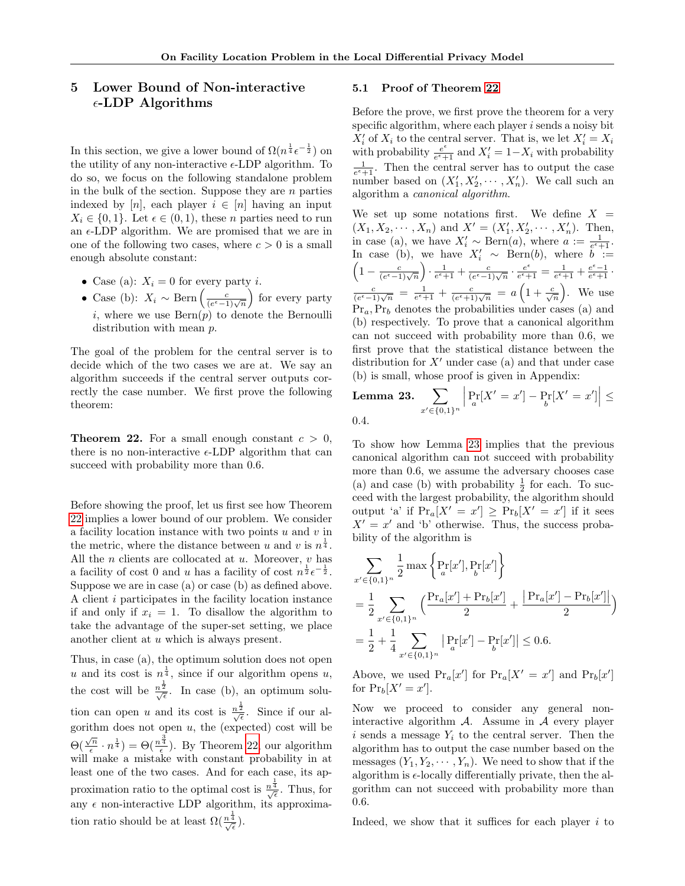# 5 Lower Bound of Non-interactive  $\epsilon$ -LDP Algorithms

In this section, we give a lower bound of  $\Omega(n^{\frac{1}{4}} \epsilon^{-\frac{1}{2}})$  on the utility of any non-interactive  $\epsilon$ -LDP algorithm. To do so, we focus on the following standalone problem in the bulk of the section. Suppose they are  $n$  parties indexed by [n], each player  $i \in [n]$  having an input  $X_i \in \{0, 1\}$ . Let  $\epsilon \in (0, 1)$ , these *n* parties need to run an  $\epsilon$ -LDP algorithm. We are promised that we are in one of the following two cases, where  $c > 0$  is a small enough absolute constant:

- Case (a):  $X_i = 0$  for every party *i*.
- Case (b):  $X_i \sim \text{Bern}\left(\frac{c}{(e^{\epsilon}-1)\sqrt{n}}\right)$  for every party i, where we use  $\text{Bern}(p)$  to denote the Bernoulli distribution with mean p.

The goal of the problem for the central server is to decide which of the two cases we are at. We say an algorithm succeeds if the central server outputs correctly the case number. We first prove the following theorem:

<span id="page-7-0"></span>**Theorem 22.** For a small enough constant  $c > 0$ , there is no non-interactive  $\epsilon$ -LDP algorithm that can succeed with probability more than 0.6.

Before showing the proof, let us first see how Theorem [22](#page-7-0) implies a lower bound of our problem. We consider a facility location instance with two points  $u$  and  $v$  in the metric, where the distance between u and v is  $n^{\frac{1}{4}}$ . All the  $n$  clients are collocated at  $u$ . Moreover,  $v$  has a facility of cost 0 and u has a facility of cost  $n^{\frac{1}{2}} \epsilon^{-\frac{1}{2}}$ . Suppose we are in case (a) or case (b) as defined above. A client i participates in the facility location instance if and only if  $x_i = 1$ . To disallow the algorithm to take the advantage of the super-set setting, we place another client at u which is always present.

Thus, in case (a), the optimum solution does not open u and its cost is  $n^{\frac{1}{4}}$ , since if our algorithm opens u, the cost will be  $\frac{n^{\frac{1}{2}}}{\sqrt{\epsilon}}$ . In case (b), an optimum solution can open u and its cost is  $\frac{n^{\frac{1}{2}}}{\sqrt{\epsilon}}$ . Since if our algorithm does not open u, the (expected) cost will be  $\Theta(\frac{\sqrt{n}}{\epsilon})$  $(\frac{\sqrt{n}}{\epsilon} \cdot n^{\frac{1}{4}}) = \Theta(\frac{n^{\frac{3}{4}}}{\epsilon})$ . By Theorem [22,](#page-7-0) our algorithm will make a mistake with constant probability in at least one of the two cases. And for each case, its approximation ratio to the optimal cost is  $\frac{n^{\frac{1}{4}}}{\sqrt{\epsilon}}$ . Thus, for any  $\epsilon$  non-interactive LDP algorithm, its approximation ratio should be at least  $\Omega(\frac{n^{\frac{1}{4}}}{\sqrt{\epsilon}})$ .

#### 5.1 Proof of Theorem [22](#page-7-0)

Before the prove, we first prove the theorem for a very specific algorithm, where each player  $i$  sends a noisy bit  $X_i'$  of  $X_i$  to the central server. That is, we let  $X_i' = X_i$ with probability  $e^{\epsilon}$  $\frac{e^{\epsilon}}{e^{\epsilon}+1}$  and  $X'_{i} = 1-X_{i}$  with probability  $\frac{1}{e^{\epsilon}+1}$ . Then the central server has to output the case number based on  $(X'_1, X'_2, \cdots, X'_n)$ . We call such an algorithm a canonical algorithm.

We set up some notations first. We define  $X =$  $(X_1, X_2, \dots, X_n)$  and  $X' = (X'_1, X'_2, \dots, X'_n)$ . Then, in case (a), we have  $X'_i \sim \text{Bern}(a)$ , where  $a := \frac{1}{e^{\epsilon}+1}$ . In case (b), we have  $X'_i \sim \text{Bern}(b)$ , where  $\overline{b} :=$ <br> $\left(1 - \frac{c}{\sqrt{b}}\right) \cdot \frac{1}{\sqrt{b}} + \frac{c}{\sqrt{b}} \cdot \frac{e^{\epsilon}}{c} - \frac{1}{\sqrt{b}} + \frac{e^{\epsilon} - 1}{c}$ .  $1 - \frac{c}{(e^{\epsilon} - 1)\sqrt{n}} \cdot \frac{1}{e^{\epsilon} + 1} + \frac{c}{(e^{\epsilon} - 1)\sqrt{n}} \cdot \frac{e^{\epsilon}}{e^{\epsilon} + 1}$  $\frac{e^{\epsilon}}{e^{\epsilon}+1} = \frac{1}{e^{\epsilon}+1} + \frac{e^{\epsilon}-1}{e^{\epsilon}+1}.$  $\frac{c}{(e^{\epsilon}-1)\sqrt{n}} = \frac{1}{e^{\epsilon}+1} + \frac{c}{(e^{\epsilon}+1)\sqrt{n}} = a\left(1+\frac{c}{\sqrt{n}}\right)$ . We use  $Pr_a, Pr_b$  denotes the probabilities under cases (a) and (b) respectively. To prove that a canonical algorithm can not succeed with probability more than 0.6, we first prove that the statistical distance between the distribution for  $X'$  under case (a) and that under case (b) is small, whose proof is given in Appendix:

<span id="page-7-1"></span>**Lemma 23.** 
$$
\sum_{x' \in \{0,1\}^n} \left| \Pr_a[X' = x'] - \Pr_b[X' = x'] \right| \le 0.4.
$$

To show how Lemma [23](#page-7-1) implies that the previous canonical algorithm can not succeed with probability more than 0.6, we assume the adversary chooses case (a) and case (b) with probability  $\frac{1}{2}$  for each. To succeed with the largest probability, the algorithm should output 'a' if  $Pr_a[X' = x'] \ge Pr_b[X' = x']$  if it sees  $X' = x'$  and 'b' otherwise. Thus, the success probability of the algorithm is

$$
\sum_{x' \in \{0,1\}^n} \frac{1}{2} \max \left\{ \Pr_x[x'], \Pr_b[x'] \right\}
$$
  
=  $\frac{1}{2} \sum_{x' \in \{0,1\}^n} \left( \frac{\Pr_a[x'] + \Pr_b[x']}{2} + \frac{|\Pr_a[x'] - \Pr_b[x']|}{2} \right)$   
=  $\frac{1}{2} + \frac{1}{4} \sum_{x' \in \{0,1\}^n} |\Pr_a[x'] - \Pr_a[x']| \le 0.6.$ 

Above, we used  $Pr_a[x']$  for  $Pr_a[X' = x']$  and  $Pr_b[x']$ for  $Pr_b[X' = x']$ .

Now we proceed to consider any general noninteractive algorithm  $A$ . Assume in  $A$  every player i sends a message  $Y_i$  to the central server. Then the algorithm has to output the case number based on the messages  $(Y_1, Y_2, \dots, Y_n)$ . We need to show that if the algorithm is  $\epsilon$ -locally differentially private, then the algorithm can not succeed with probability more than 0.6.

Indeed, we show that it suffices for each player  $i$  to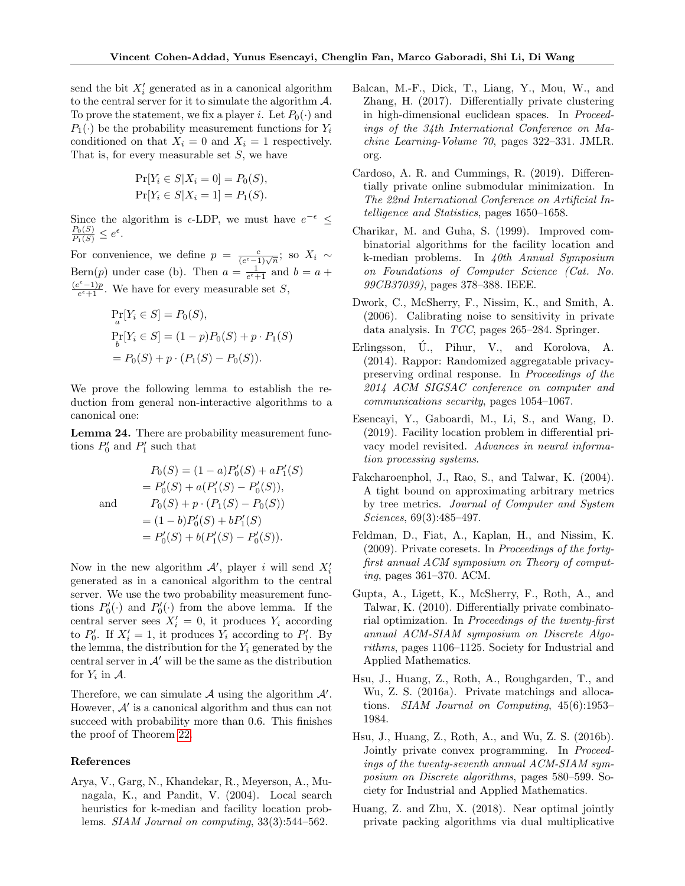send the bit  $X_i'$  generated as in a canonical algorithm to the central server for it to simulate the algorithm  $\mathcal{A}$ . To prove the statement, we fix a player *i*. Let  $P_0(\cdot)$  and  $P_1(\cdot)$  be the probability measurement functions for  $Y_i$ conditioned on that  $X_i = 0$  and  $X_i = 1$  respectively. That is, for every measurable set  $S$ , we have

$$
\Pr[Y_i \in S | X_i = 0] = P_0(S),
$$
  

$$
\Pr[Y_i \in S | X_i = 1] = P_1(S).
$$

Since the algorithm is  $\epsilon$ -LDP, we must have  $e^{-\epsilon} \leq$  $\frac{P_0(S)}{P_1(S)} \leq e^{\epsilon}.$ 

For convenience, we define  $p = \frac{c}{(e^{\epsilon}-1)\sqrt{n}}$ ; so  $X_i \sim$ Bern(p) under case (b). Then  $a = \frac{1}{e^{\epsilon}+1}$  and  $b = a +$  $(e^{\epsilon}-1)p$  $\frac{e^{z}-1}{e^{z}+1}$ . We have for every measurable set S,

$$
\Pr_a[Y_i \in S] = P_0(S),
$$
  
\n
$$
\Pr_b[Y_i \in S] = (1 - p)P_0(S) + p \cdot P_1(S)
$$
  
\n
$$
= P_0(S) + p \cdot (P_1(S) - P_0(S)).
$$

We prove the following lemma to establish the reduction from general non-interactive algorithms to a canonical one:

Lemma 24. There are probability measurement functions  $P'_0$  and  $P'_1$  such that

$$
P_0(S) = (1 - a)P'_0(S) + aP'_1(S)
$$
  
=  $P'_0(S) + a(P'_1(S) - P'_0(S)),$   
and  $P_0(S) + p \cdot (P_1(S) - P_0(S))$   
=  $(1 - b)P'_0(S) + bP'_1(S)$   
=  $P'_0(S) + b(P'_1(S) - P'_0(S)).$ 

Now in the new algorithm  $A'$ , player i will send  $X'_{i}$ generated as in a canonical algorithm to the central server. We use the two probability measurement functions  $P'_0(\cdot)$  and  $P'_0(\cdot)$  from the above lemma. If the central server sees  $X'_i = 0$ , it produces  $Y_i$  according to  $P'_0$ . If  $X'_i = 1$ , it produces  $Y_i$  according to  $P'_1$ . By the lemma, the distribution for the  $Y_i$  generated by the central server in  $A'$  will be the same as the distribution for  $Y_i$  in  $A$ .

Therefore, we can simulate  $A$  using the algorithm  $A'$ . However,  $A'$  is a canonical algorithm and thus can not succeed with probability more than 0.6. This finishes the proof of Theorem [22.](#page-7-0)

#### References

<span id="page-8-2"></span>Arya, V., Garg, N., Khandekar, R., Meyerson, A., Munagala, K., and Pandit, V. (2004). Local search heuristics for k-median and facility location problems. SIAM Journal on computing, 33(3):544–562.

- <span id="page-8-8"></span>Balcan, M.-F., Dick, T., Liang, Y., Mou, W., and Zhang, H. (2017). Differentially private clustering in high-dimensional euclidean spaces. In Proceedings of the 34th International Conference on Machine Learning-Volume 70, pages 322–331. JMLR. org.
- <span id="page-8-6"></span>Cardoso, A. R. and Cummings, R. (2019). Differentially private online submodular minimization. In The 22nd International Conference on Artificial Intelligence and Statistics, pages 1650–1658.
- <span id="page-8-3"></span>Charikar, M. and Guha, S. (1999). Improved combinatorial algorithms for the facility location and k-median problems. In 40th Annual Symposium on Foundations of Computer Science (Cat. No. 99CB37039), pages 378–388. IEEE.
- <span id="page-8-4"></span>Dwork, C., McSherry, F., Nissim, K., and Smith, A. (2006). Calibrating noise to sensitivity in private data analysis. In TCC, pages 265–284. Springer.
- <span id="page-8-5"></span>Erlingsson, U., Pihur, V., and Korolova, A. (2014). Rappor: Randomized aggregatable privacypreserving ordinal response. In Proceedings of the 2014 ACM SIGSAC conference on computer and communications security, pages 1054–1067.
- <span id="page-8-1"></span>Esencayi, Y., Gaboardi, M., Li, S., and Wang, D. (2019). Facility location problem in differential privacy model revisited. Advances in neural information processing systems.
- <span id="page-8-12"></span>Fakcharoenphol, J., Rao, S., and Talwar, K. (2004). A tight bound on approximating arbitrary metrics by tree metrics. Journal of Computer and System Sciences, 69(3):485–497.
- <span id="page-8-7"></span>Feldman, D., Fiat, A., Kaplan, H., and Nissim, K. (2009). Private coresets. In Proceedings of the fortyfirst annual ACM symposium on Theory of computing, pages 361–370. ACM.
- <span id="page-8-0"></span>Gupta, A., Ligett, K., McSherry, F., Roth, A., and Talwar, K. (2010). Differentially private combinatorial optimization. In Proceedings of the twenty-first annual ACM-SIAM symposium on Discrete Algorithms, pages 1106–1125. Society for Industrial and Applied Mathematics.
- <span id="page-8-9"></span>Hsu, J., Huang, Z., Roth, A., Roughgarden, T., and Wu, Z. S. (2016a). Private matchings and allocations. SIAM Journal on Computing, 45(6):1953– 1984.
- <span id="page-8-10"></span>Hsu, J., Huang, Z., Roth, A., and Wu, Z. S. (2016b). Jointly private convex programming. In Proceedings of the twenty-seventh annual ACM-SIAM symposium on Discrete algorithms, pages 580–599. Society for Industrial and Applied Mathematics.
- <span id="page-8-11"></span>Huang, Z. and Zhu, X. (2018). Near optimal jointly private packing algorithms via dual multiplicative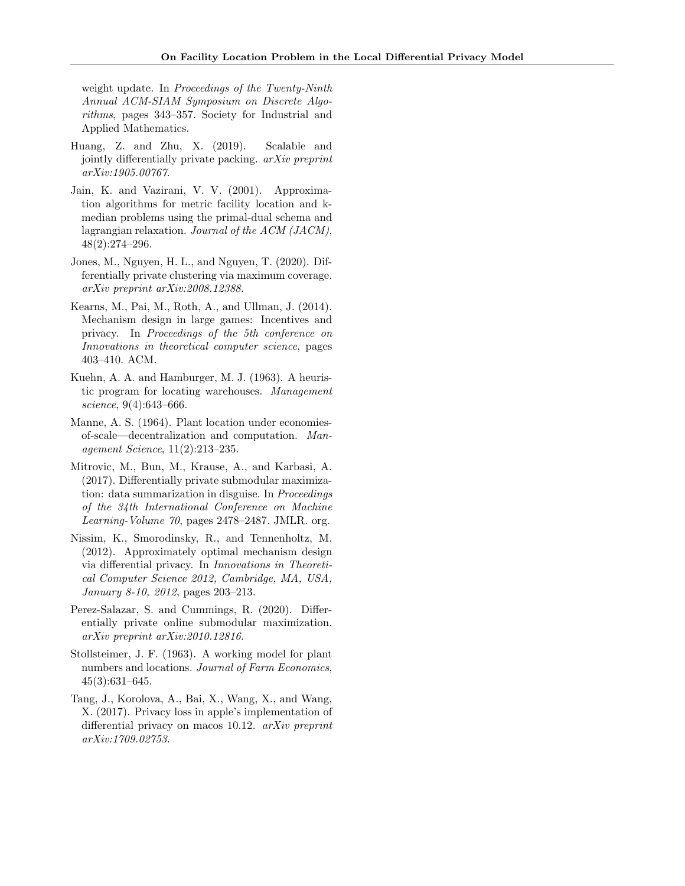weight update. In *Proceedings of the Twenty-Ninth* Annual ACM-SIAM Symposium on Discrete Algorithms, pages 343–357. Society for Industrial and Applied Mathematics.

- <span id="page-9-10"></span>Huang, Z. and Zhu, X. (2019). Scalable and jointly differentially private packing. arXiv preprint arXiv:1905.00767.
- <span id="page-9-3"></span>Jain, K. and Vazirani, V. V. (2001). Approximation algorithms for metric facility location and kmedian problems using the primal-dual schema and lagrangian relaxation. Journal of the ACM (JACM), 48(2):274–296.
- <span id="page-9-6"></span>Jones, M., Nguyen, H. L., and Nguyen, T. (2020). Differentially private clustering via maximum coverage. arXiv preprint arXiv:2008.12388.
- <span id="page-9-9"></span>Kearns, M., Pai, M., Roth, A., and Ullman, J. (2014). Mechanism design in large games: Incentives and privacy. In Proceedings of the 5th conference on Innovations in theoretical computer science, pages 403–410. ACM.
- <span id="page-9-0"></span>Kuehn, A. A. and Hamburger, M. J. (1963). A heuristic program for locating warehouses. Management science, 9(4):643–666.
- <span id="page-9-1"></span>Manne, A. S. (1964). Plant location under economiesof-scale—decentralization and computation. Management Science, 11(2):213–235.
- <span id="page-9-7"></span>Mitrovic, M., Bun, M., Krause, A., and Karbasi, A. (2017). Differentially private submodular maximization: data summarization in disguise. In Proceedings of the 34th International Conference on Machine Learning-Volume 70, pages 2478–2487. JMLR. org.
- <span id="page-9-5"></span>Nissim, K., Smorodinsky, R., and Tennenholtz, M. (2012). Approximately optimal mechanism design via differential privacy. In Innovations in Theoretical Computer Science 2012, Cambridge, MA, USA, January 8-10, 2012, pages 203–213.
- <span id="page-9-8"></span>Perez-Salazar, S. and Cummings, R. (2020). Differentially private online submodular maximization. arXiv preprint arXiv:2010.12816.
- <span id="page-9-2"></span>Stollsteimer, J. F. (1963). A working model for plant numbers and locations. Journal of Farm Economics, 45(3):631–645.
- <span id="page-9-4"></span>Tang, J., Korolova, A., Bai, X., Wang, X., and Wang, X. (2017). Privacy loss in apple's implementation of differential privacy on macos 10.12. arXiv preprint arXiv:1709.02753.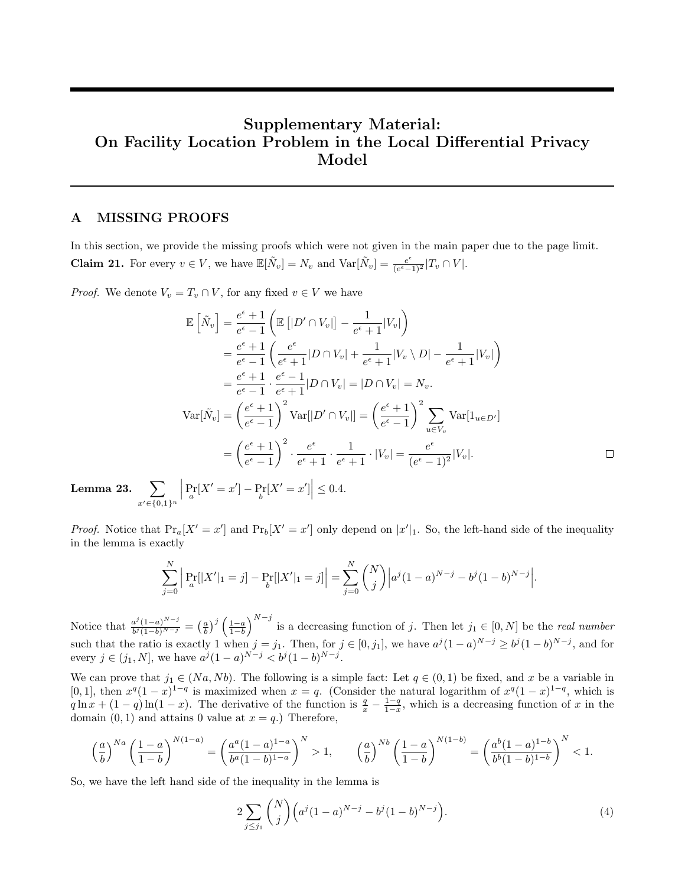# Supplementary Material: On Facility Location Problem in the Local Differential Privacy Model

## A MISSING PROOFS

In this section, we provide the missing proofs which were not given in the main paper due to the page limit. **Claim 21.** For every  $v \in V$ , we have  $\mathbb{E}[\tilde{N}_v] = N_v$  and  $\text{Var}[\tilde{N}_v] = \frac{e^{\epsilon}}{e^{\epsilon}-1}$  $\frac{e^{\epsilon}}{(e^{\epsilon}-1)^2}$   $|T_v \cap V|$ .

*Proof.* We denote  $V_v = T_v \cap V$ , for any fixed  $v \in V$  we have

$$
\mathbb{E}\left[\tilde{N}_v\right] = \frac{e^{\epsilon} + 1}{e^{\epsilon} - 1} \left(\mathbb{E}\left[|D' \cap V_v|\right] - \frac{1}{e^{\epsilon} + 1}|V_v|\right)
$$
\n
$$
= \frac{e^{\epsilon} + 1}{e^{\epsilon} - 1} \left(\frac{e^{\epsilon}}{e^{\epsilon} + 1}|D \cap V_v| + \frac{1}{e^{\epsilon} + 1}|V_v \setminus D| - \frac{1}{e^{\epsilon} + 1}|V_v|\right)
$$
\n
$$
= \frac{e^{\epsilon} + 1}{e^{\epsilon} - 1} \cdot \frac{e^{\epsilon} - 1}{e^{\epsilon} + 1}|D \cap V_v| = |D \cap V_v| = N_v.
$$
\n
$$
\text{Var}[\tilde{N}_v] = \left(\frac{e^{\epsilon} + 1}{e^{\epsilon} - 1}\right)^2 \text{Var}[|D' \cap V_v|] = \left(\frac{e^{\epsilon} + 1}{e^{\epsilon} - 1}\right)^2 \sum_{u \in V_v} \text{Var}[1_{u \in D'}]
$$
\n
$$
= \left(\frac{e^{\epsilon} + 1}{e^{\epsilon} - 1}\right)^2 \cdot \frac{e^{\epsilon}}{e^{\epsilon} + 1} \cdot \frac{1}{e^{\epsilon} + 1} \cdot |V_v| = \frac{e^{\epsilon}}{(e^{\epsilon} - 1)^2}|V_v|.
$$

Lemma 23.  $\sum$  $x' \in \{0,1\}^n$  $\left| \Pr_a[X' = x'] - \Pr_b[X' = x'] \right| \leq 0.4.$ 

*Proof.* Notice that  $Pr_a[X' = x']$  and  $Pr_b[X' = x']$  only depend on  $|x'|_1$ . So, the left-hand side of the inequality in the lemma is exactly

$$
\sum_{j=0}^{N} \left| \Pr_{a}[|X'|_1=j] - \Pr_{b}[|X'|_1=j] \right| = \sum_{j=0}^{N} {N \choose j} \left| a^j (1-a)^{N-j} - b^j (1-b)^{N-j} \right|.
$$

Notice that  $\frac{a^j(1-a)^{N-j}}{b^j(1-b)^{N-j}}$  $\frac{a^j(1-a)^{N-j}}{b^j(1-b)^{N-j}} = \left(\frac{a}{b}\right)^j \left(\frac{1-a}{1-b}\right)^{N-j}$  is a decreasing function of j. Then let  $j_1 \in [0, N]$  be the *real number* such that the ratio is exactly 1 when  $j = j_1$ . Then, for  $j \in [0, j_1]$ , we have  $a^j (1 - a)^{N-j} \ge b^j (1 - b)^{N-j}$ , and for every  $j \in (j_1, N]$ , we have  $a^j (1 - a)^{N - j} < b^j (1 - b)^{N - j}$ .

We can prove that  $j_1 \in (Na, Nb)$ . The following is a simple fact: Let  $q \in (0, 1)$  be fixed, and x be a variable in [0, 1], then  $x^q(1-x)^{1-q}$  is maximized when  $x = q$ . (Consider the natural logarithm of  $x^q(1-x)^{1-q}$ , which is  $q \ln x + (1-q) \ln(1-x)$ . The derivative of the function is  $\frac{q}{x} - \frac{1-q}{1-x}$ , which is a decreasing function of x in the domain  $(0, 1)$  and attains 0 value at  $x = q$ .) Therefore,

$$
\left(\frac{a}{b}\right)^{Na} \left(\frac{1-a}{1-b}\right)^{N(1-a)} = \left(\frac{a^a(1-a)^{1-a}}{b^a(1-b)^{1-a}}\right)^N > 1, \qquad \left(\frac{a}{b}\right)^{Nb} \left(\frac{1-a}{1-b}\right)^{N(1-b)} = \left(\frac{a^b(1-a)^{1-b}}{b^b(1-b)^{1-b}}\right)^N < 1.
$$

So, we have the left hand side of the inequality in the lemma is

<span id="page-10-0"></span>
$$
2\sum_{j\leq j_1} {N \choose j} \left( a^j (1-a)^{N-j} - b^j (1-b)^{N-j} \right). \tag{4}
$$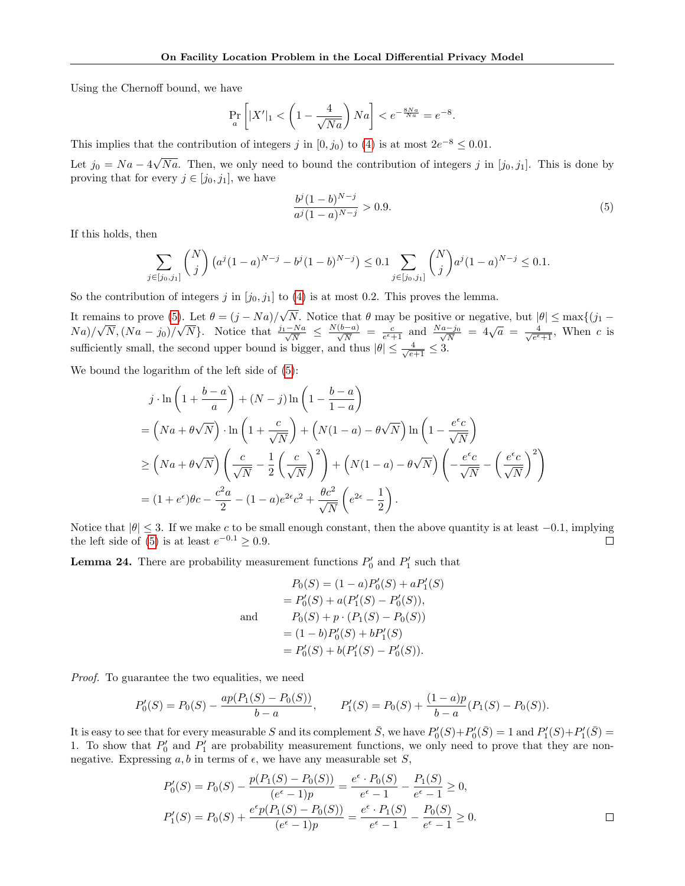Using the Chernoff bound, we have

$$
\Pr_a\left[|X'|_1 < \left(1 - \frac{4}{\sqrt{Na}}\right)Na\right] < e^{-\frac{8Na}{Na}} = e^{-8}.
$$

This implies that the contribution of integers j in [0,  $j_0$ ) to [\(4\)](#page-10-0) is at most  $2e^{-8} \le 0.01$ .

Let  $j_0 = Na - 4$ √ Na. Then, we only need to bound the contribution of integers j in  $[j_0, j_1]$ . This is done by proving that for every  $j \in [j_0, j_1]$ , we have

<span id="page-11-0"></span>
$$
\frac{b^j (1 - b)^{N - j}}{a^j (1 - a)^{N - j}} > 0.9.
$$
\n(5)

If this holds, then

$$
\sum_{j \in [j_0, j_1]} \binom{N}{j} \left( a^j (1-a)^{N-j} - b^j (1-b)^{N-j} \right) \le 0.1 \sum_{j \in [j_0, j_1]} \binom{N}{j} a^j (1-a)^{N-j} \le 0.1.
$$

So the contribution of integers j in  $[j_0, j_1]$  to [\(4\)](#page-10-0) is at most 0.2. This proves the lemma.

It remains to prove [\(5\)](#page-11-0). Let  $\theta = (j - Na)$ / √ N. Notice that  $\theta$  may be positive or negative, but  $|\theta| \leq \max\{(j_1 - \theta)\}$  $Na$ )/ µa  $N,(Na - j<sub>0</sub>)/$ j). Let  $v = (j - N\frac{a}{N}\frac{v}{N}N)$ . Notice that  $\frac{j_1 - Na}{\sqrt{N}} \leq \frac{N(b-a)}{\sqrt{N}} = \frac{c}{e^{\epsilon}+1}$  and  $\frac{Na-j_0}{\sqrt{N}} = 4\sqrt{a} = \frac{4}{\sqrt{e^{\epsilon}}}$  $\frac{4}{e^{\epsilon}+1}$ , When c is sufficiently small, the second upper bound is bigger, and thus  $|\theta| \leq \frac{4}{\sqrt{e+1}} \leq 3$ .

We bound the logarithm of the left side of [\(5\)](#page-11-0):

$$
j \cdot \ln\left(1 + \frac{b-a}{a}\right) + (N-j)\ln\left(1 - \frac{b-a}{1-a}\right)
$$
  
=  $\left(Na + \theta\sqrt{N}\right) \cdot \ln\left(1 + \frac{c}{\sqrt{N}}\right) + \left(N(1-a) - \theta\sqrt{N}\right)\ln\left(1 - \frac{e^{\epsilon}c}{\sqrt{N}}\right)$   

$$
\geq \left(Na + \theta\sqrt{N}\right)\left(\frac{c}{\sqrt{N}} - \frac{1}{2}\left(\frac{c}{\sqrt{N}}\right)^{2}\right) + \left(N(1-a) - \theta\sqrt{N}\right)\left(-\frac{e^{\epsilon}c}{\sqrt{N}} - \left(\frac{e^{\epsilon}c}{\sqrt{N}}\right)^{2}\right)
$$
  
=  $(1 + e^{\epsilon})\theta c - \frac{c^{2}a}{2} - (1-a)e^{2\epsilon}c^{2} + \frac{\theta c^{2}}{\sqrt{N}}\left(e^{2\epsilon} - \frac{1}{2}\right).$ 

Notice that  $|\theta| \leq 3$ . If we make c to be small enough constant, then the above quantity is at least  $-0.1$ , implying the left side of [\(5\)](#page-11-0) is at least  $e^{-0.1} \ge 0.9$ .  $\Box$ 

**Lemma 24.** There are probability measurement functions  $P'_0$  and  $P'_1$  such that

$$
P_0(S) = (1 - a)P'_0(S) + aP'_1(S)
$$
  
=  $P'_0(S) + a(P'_1(S) - P'_0(S)),$   
and  $P_0(S) + p \cdot (P_1(S) - P_0(S))$   
=  $(1 - b)P'_0(S) + bP'_1(S)$   
=  $P'_0(S) + b(P'_1(S) - P'_0(S)).$ 

Proof. To guarantee the two equalities, we need

$$
P'_0(S) = P_0(S) - \frac{ap(P_1(S) - P_0(S))}{b - a}, \qquad P'_1(S) = P_0(S) + \frac{(1 - a)p}{b - a}(P_1(S) - P_0(S)).
$$

It is easy to see that for every measurable S and its complement  $\bar{S}$ , we have  $P'_{0}(S) + P'_{0}(\bar{S}) = 1$  and  $P'_{1}(S) + P'_{1}(\bar{S}) = 1$ 1. To show that  $P'_0$  and  $P'_1$  are probability measurement functions, we only need to prove that they are nonnegative. Expressing  $a, b$  in terms of  $\epsilon$ , we have any measurable set S,

$$
P'_0(S) = P_0(S) - \frac{p(P_1(S) - P_0(S))}{(e^{\epsilon} - 1)p} = \frac{e^{\epsilon} \cdot P_0(S)}{e^{\epsilon} - 1} - \frac{P_1(S)}{e^{\epsilon} - 1} \ge 0,
$$
  

$$
P'_1(S) = P_0(S) + \frac{e^{\epsilon}p(P_1(S) - P_0(S))}{(e^{\epsilon} - 1)p} = \frac{e^{\epsilon} \cdot P_1(S)}{e^{\epsilon} - 1} - \frac{P_0(S)}{e^{\epsilon} - 1} \ge 0.
$$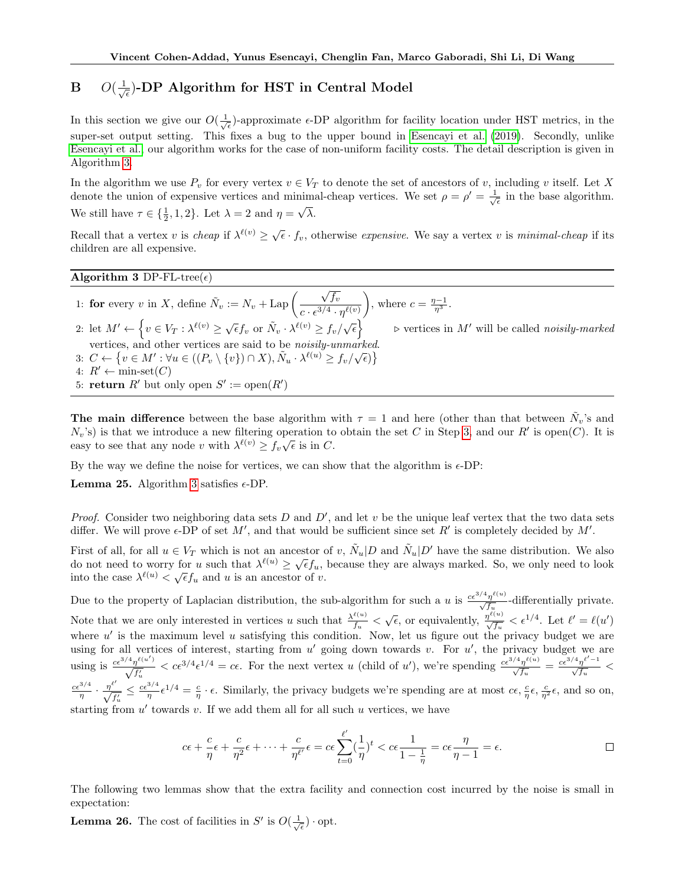#### <span id="page-12-0"></span> $\mathbf{B} = O(\frac{1}{\sqrt{2}})$  $_{\overline{\epsilon}}$ )-DP Algorithm for HST in Central Model

In this section we give our  $O(\frac{1}{\sqrt{\epsilon}})$ -approximate  $\epsilon$ -DP algorithm for facility location under HST metrics, in the super-set output setting. This fixes a bug to the upper bound in [Esencayi et al.](#page-8-1) [\(2019\)](#page-8-1). Secondly, unlike [Esencayi et al.,](#page-8-1) our algorithm works for the case of non-uniform facility costs. The detail description is given in Algorithm [3.](#page-12-1)

In the algorithm we use  $P_v$  for every vertex  $v \in V_T$  to denote the set of ancestors of v, including v itself. Let X denote the union of expensive vertices and minimal-cheap vertices. We set  $\rho = \rho' = \frac{1}{\sqrt{\epsilon}}$  in the base algorithm. We still have  $\tau \in \{\frac{1}{2}, 1, 2\}$ . Let  $\lambda = 2$  and  $\eta = \sqrt{\lambda}$ .

Recall that a vertex v is cheap if  $\lambda^{\ell(v)} \geq \sqrt{\epsilon} \cdot f_v$ , otherwise expensive. We say a vertex v is minimal-cheap if its children are all expensive.

#### <span id="page-12-1"></span>Algorithm 3 DP-FL-tree $(\epsilon)$

1: for every v in X, define  $\tilde{N}_v := N_v + \text{Lap}\left(\frac{\sqrt{f_v}}{s^{3/4}}\right)$  $c\cdot \epsilon^{3/4} \cdot \eta^{\ell(v)}$ ), where  $c = \frac{\eta - 1}{\eta^3}$ . 2: let  $M' \leftarrow \left\{ v \in V_T : \lambda^{\ell(v)} \geq \sqrt{\epsilon} f_v \text{ or } \tilde{N}_v \cdot \lambda^{\ell(v)} \geq f_v / \sqrt{\epsilon} \right\}$  $\triangleright$  vertices in  $M'$  will be called  $noisily-marked$ vertices, and other vertices are said to be *noisily-unmarked*. 3:  $C \leftarrow \{v \in M' : \forall u \in ((P_v \setminus \{v\}) \cap X), \tilde{N}_u \cdot \lambda^{\ell(u)} \geq f_v/\sqrt{\epsilon})\}$ 4:  $R' \leftarrow \text{min-set}(C)$ 5: **return**  $R'$  but only open  $S' := \text{open}(R')$ 

The main difference between the base algorithm with  $\tau = 1$  and here (other than that between  $\tilde{N}_v$ 's and  $N_v$ 's) is that we introduce a new filtering operation to obtain the set C in Step [3,](#page-12-1) and our R' is open(C). It is  $\mathcal{L}(v_v, s)$  is that we informed a new intering operation to easy to see that any node v with  $\lambda^{\ell(v)} \geq f_v \sqrt{\epsilon}$  is in C.

By the way we define the noise for vertices, we can show that the algorithm is  $\epsilon$ -DP:

**Lemma 25.** Algorithm [3](#page-12-1) satisfies  $\epsilon$ -DP.

*Proof.* Consider two neighboring data sets  $D$  and  $D'$ , and let  $v$  be the unique leaf vertex that the two data sets differ. We will prove  $\epsilon$ -DP of set M', and that would be sufficient since set R' is completely decided by M'.

First of all, for all  $u \in V_T$  which is not an ancestor of v,  $\tilde{N}_u|D$  and  $\tilde{N}_u|D'$  have the same distribution. We also First of an, for an  $u \in V_T$  which is not an ancestor of v,  $N_u | D$  and  $N_u | D$  have the same distribution. We also do not need to worry for u such that  $\lambda^{\ell(u)} \ge \sqrt{\epsilon} f_u$ , because they are always marked. So, we only need to into the case  $\lambda^{\ell(u)} < \sqrt{\epsilon} f_u$  and u is an ancestor of v.

Due to the property of Laplacian distribution, the sub-algorithm for such a u is  $\frac{c\epsilon^{3/4}\eta^{\ell(u)}}{\sqrt{f_u}}$ -differentially private. Note that we are only interested in vertices u such that  $\frac{\lambda^{\ell(u)}}{f}$  $\frac{\ell(u)}{f_u} < \sqrt{\epsilon}$ , or equivalently,  $\frac{\eta^{\ell(u)}}{\sqrt{f_u}} < \epsilon^{1/4}$ . Let  $\ell' = \ell(u')$ where  $u'$  is the maximum level u satisfying this condition. Now, let us figure out the privacy budget we are using for all vertices of interest, starting from  $u'$  going down towards v. For  $u'$ , the privacy budget we are using is  $\frac{c\epsilon^{3/4}\eta^{\ell(u')}}{\sqrt{f_u}} < c\epsilon^{3/4}\epsilon^{1/4} = c\epsilon$ . For the next vertex u (child of u'), we're spending  $\frac{c\epsilon^{3/4}\eta^{\ell(u)}}{\sqrt{f_u}} = \frac{c\epsilon^{3/4}\eta^{\ell(u)}}{\sqrt{f_u}} <$  $\frac{c\epsilon^{3/4}}{\eta} \cdot \frac{\eta^{\ell'}}{\sqrt{f'_u}} \leq \frac{c\epsilon^{3/4}}{\eta} \epsilon^{1/4} = \frac{c}{\eta} \cdot \epsilon$ . Similarly, the privacy budgets we're spending are at most  $c\epsilon$ ,  $\frac{c}{\eta} \epsilon$ ,  $\frac{c}{\eta^2} \epsilon$ , and so on, starting from  $u'$  towards v. If we add them all for all such u vertices, we have

$$
c\epsilon + \frac{c}{\eta}\epsilon + \frac{c}{\eta^2}\epsilon + \dots + \frac{c}{\eta\ell'}\epsilon = c\epsilon \sum_{t=0}^{\ell'}(\frac{1}{\eta})^t < c\epsilon \frac{1}{1-\frac{1}{\eta}} = c\epsilon \frac{\eta}{\eta-1} = \epsilon.
$$

The following two lemmas show that the extra facility and connection cost incurred by the noise is small in expectation:

<span id="page-12-2"></span>**Lemma 26.** The cost of facilities in  $S'$  is  $O(\frac{1}{\sqrt{\epsilon}}) \cdot \text{opt.}$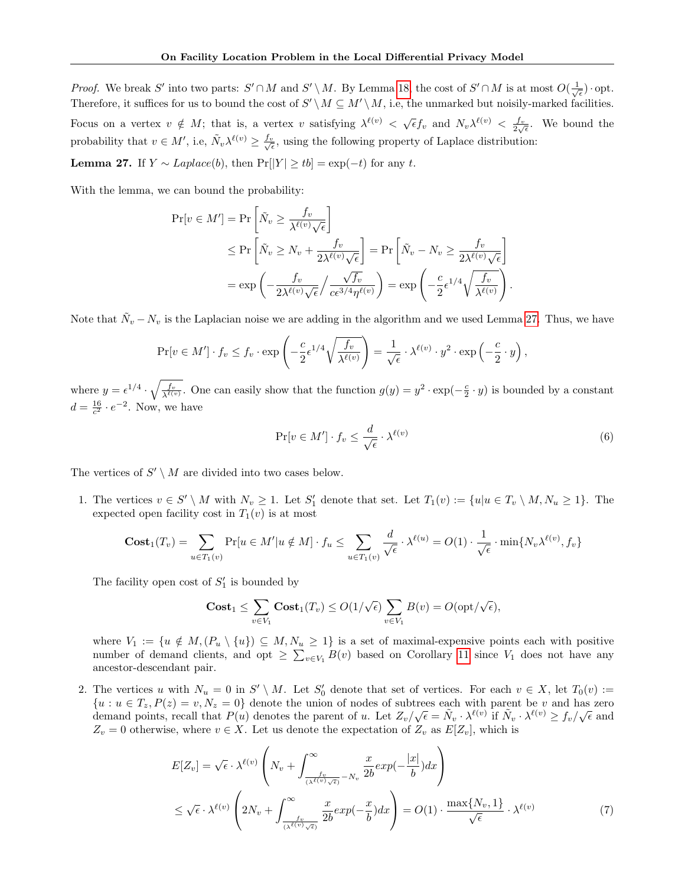*Proof.* We break S' into two parts:  $S' \cap M$  and  $S' \setminus M$ . By Lemma [18,](#page-4-2) the cost of  $S' \cap M$  is at most  $O(\frac{1}{\sqrt{\epsilon}})$  opt. Therefore, it suffices for us to bound the cost of  $S' \setminus M \subseteq M' \setminus M$ , i.e, the unmarked but noisily-marked facilities. Focus on a vertex  $v \notin M$ ; that is, a vertex v satisfying  $\lambda^{\ell(v)} < \sqrt{\epsilon} f_v$  and  $N_v \lambda^{\ell(v)} < \frac{f_v}{2\sqrt{\epsilon}}$ . We bound the probability that  $v \in M'$ , i.e,  $\tilde{N}_v \lambda^{\ell(v)} \ge \frac{f_v}{\sqrt{\epsilon}}$ , using the following property of Laplace distribution:

<span id="page-13-0"></span>**Lemma 27.** If  $Y \sim Laplace(b)$ , then  $Pr[|Y| \geq tb] = exp(-t)$  for any t.

With the lemma, we can bound the probability:

$$
\Pr[v \in M'] = \Pr\left[\tilde{N}_v \ge \frac{f_v}{\lambda^{\ell(v)}\sqrt{\epsilon}}\right]
$$
  
\n
$$
\le \Pr\left[\tilde{N}_v \ge N_v + \frac{f_v}{2\lambda^{\ell(v)}\sqrt{\epsilon}}\right] = \Pr\left[\tilde{N}_v - N_v \ge \frac{f_v}{2\lambda^{\ell(v)}\sqrt{\epsilon}}\right]
$$
  
\n
$$
= \exp\left(-\frac{f_v}{2\lambda^{\ell(v)}\sqrt{\epsilon}} / \frac{\sqrt{f_v}}{c\epsilon^{3/4}\eta^{\ell(v)}}\right) = \exp\left(-\frac{c}{2}\epsilon^{1/4}\sqrt{\frac{f_v}{\lambda^{\ell(v)}}}\right).
$$

Note that  $\tilde{N}_v - N_v$  is the Laplacian noise we are adding in the algorithm and we used Lemma [27.](#page-13-0) Thus, we have

$$
\Pr[v \in M'] \cdot f_v \le f_v \cdot \exp\left(-\frac{c}{2} \epsilon^{1/4} \sqrt{\frac{f_v}{\lambda^{\ell(v)}}}\right) = \frac{1}{\sqrt{\epsilon}} \cdot \lambda^{\ell(v)} \cdot y^2 \cdot \exp\left(-\frac{c}{2} \cdot y\right),
$$

where  $y = \epsilon^{1/4} \cdot \sqrt{\frac{f_v}{\lambda^{\ell(v)}}}$ . One can easily show that the function  $g(y) = y^2 \cdot \exp(-\frac{c}{2} \cdot y)$  is bounded by a constant  $d = \frac{16}{c^2} \cdot e^{-2}$ . Now, we have

$$
\Pr[v \in M'] \cdot f_v \le \frac{d}{\sqrt{\epsilon}} \cdot \lambda^{\ell(v)} \tag{6}
$$

The vertices of  $S' \setminus M$  are divided into two cases below.

1. The vertices  $v \in S' \setminus M$  with  $N_v \ge 1$ . Let  $S'_1$  denote that set. Let  $T_1(v) := \{u | u \in T_v \setminus M, N_u \ge 1\}$ . The expected open facility cost in  $T_1(v)$  is at most

$$
\mathbf{Cost}_1(T_v) = \sum_{u \in T_1(v)} \Pr[u \in M'| u \notin M] \cdot f_u \le \sum_{u \in T_1(v)} \frac{d}{\sqrt{\epsilon}} \cdot \lambda^{\ell(u)} = O(1) \cdot \frac{1}{\sqrt{\epsilon}} \cdot \min\{N_v\lambda^{\ell(v)}, f_v\}
$$

The facility open cost of  $S'_1$  is bounded by

$$
\mathbf{Cost}_1 \leq \sum_{v \in V_1} \mathbf{Cost}_1(T_v) \leq O(1/\sqrt{\epsilon}) \sum_{v \in V_1} B(v) = O(\mathrm{opt}/\sqrt{\epsilon}),
$$

where  $V_1 := \{u \notin M, (P_u \setminus \{u\}) \subseteq M, N_u \geq 1\}$  is a set of maximal-expensive points each with positive number of demand clients, and opt  $\geq \sum_{v\in V_1} B(v)$  based on Corollary [11](#page-4-1) since  $V_1$  does not have any ancestor-descendant pair.

2. The vertices u with  $N_u = 0$  in  $S' \setminus M$ . Let  $S'_0$  denote that set of vertices. For each  $v \in X$ , let  $T_0(v) :=$  $\{u : u \in T_z, P(z) = v, N_z = 0\}$  denote the union of nodes of subtrees each with parent be v and has zero demand points, recall that  $P(u)$  denotes the parent of u. Let  $Z_v/\sqrt{\epsilon} = \tilde{N}_v \cdot \lambda^{\ell(v)}$  if  $\tilde{N}_v \cdot \lambda^{\ell(v)} \ge f_v/\sqrt{\epsilon}$  and  $Z_v = 0$  otherwise, where  $v \in X$ . Let us denote the expectation of  $Z_v$  as  $E[Z_v]$ , which is

$$
E[Z_v] = \sqrt{\epsilon} \cdot \lambda^{\ell(v)} \left( N_v + \int_{\frac{f_v}{(\lambda^{\ell(v)}\sqrt{\epsilon})} - N_v}^{\infty} \frac{x}{2b} exp(-\frac{|x|}{b}) dx \right)
$$
  

$$
\leq \sqrt{\epsilon} \cdot \lambda^{\ell(v)} \left( 2N_v + \int_{\frac{f_v}{(\lambda^{\ell(v)}\sqrt{\epsilon})} - N_v}^{\infty} \frac{x}{2b} exp(-\frac{x}{b}) dx \right) = O(1) \cdot \frac{\max\{N_v, 1\}}{\sqrt{\epsilon}} \cdot \lambda^{\ell(v)}
$$
(7)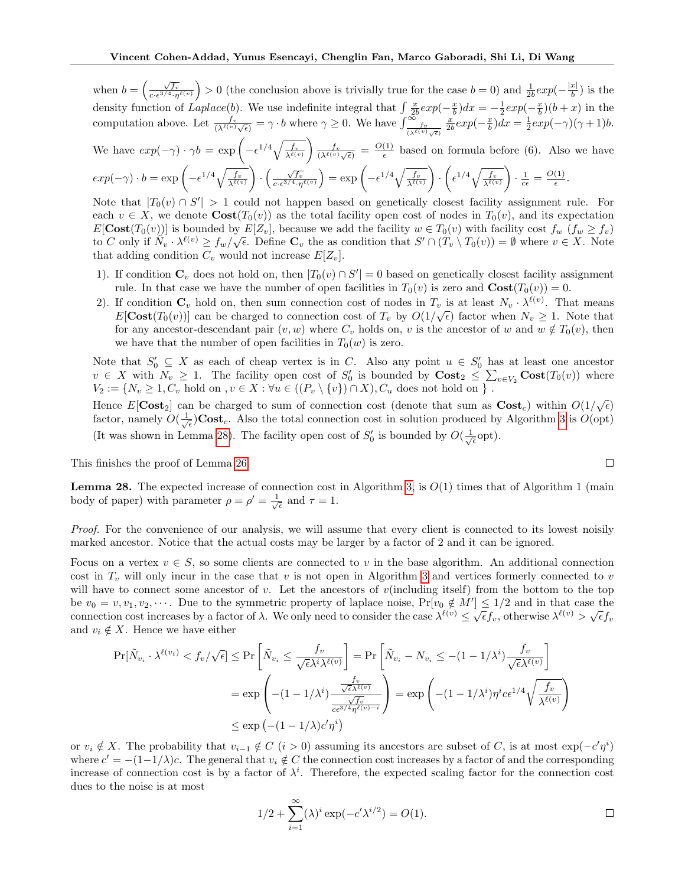when  $b = \left(\frac{\sqrt{f_v}}{c \cdot \epsilon^{3/4} \cdot \eta^{\ell(v)}}\right) > 0$  (the conclusion above is trivially true for the case  $b = 0$ ) and  $\frac{1}{2b} exp(-\frac{|x|}{b})$  $\frac{x}{b}$ ) is the density function of  $Laplace(b)$ . We use indefinite integral that  $\int \frac{x}{2b} exp(-\frac{x}{b}) dx = -\frac{1}{2} exp(-\frac{x}{b})(b+x)$  in the computation above. Let  $\frac{f_v}{(\lambda^{\ell(v)}\sqrt{\epsilon})} = \gamma \cdot b$  where  $\gamma \geq 0$ . We have  $\int_{\frac{f_v}{(\lambda^{\ell(v)}\sqrt{\epsilon})}}^{\infty}$  $\frac{x}{2b}exp(-\frac{x}{b})dx = \frac{1}{2}exp(-\gamma)(\gamma+1)b.$ We have  $exp(-\gamma) \cdot \gamma b = \exp \left(-\epsilon^{1/4} \sqrt{\frac{f_v}{\lambda^{\ell(v)}}}\right)$  $\frac{f_v}{(\lambda^{\ell(v)}\sqrt{\epsilon})} = \frac{O(1)}{\epsilon}$  $\frac{(1)}{\epsilon}$  based on formula before (6). Also we have  $exp(-\gamma) \cdot b = \exp \left(-\epsilon^{1/4} \sqrt{\frac{f_v}{\lambda^{\ell(v)}}}\right)$  $\left(\frac{\sqrt{f_v}}{c\cdot\epsilon^{3/4}\cdot\eta^{\ell(v)}}\right)=\exp\left(-\epsilon^{1/4}\sqrt{\frac{f_v}{\lambda^{\ell(v)}}}\right)$  $\bigg) \cdot \bigg( \epsilon^{1/4} \sqrt{\frac{f_v}{\lambda^{\ell(v)}}}$  $\cdot \frac{1}{c \epsilon} = \frac{O(1)}{\epsilon}$  $\frac{1}{\epsilon}$ . Note that  $|T_0(v) \cap S'| > 1$  could not happen based on genetically closest facility assignment rule. For

each  $v \in X$ , we denote  $\text{Cost}(T_0(v))$  as the total facility open cost of nodes in  $T_0(v)$ , and its expectation  $E[\text{Cost}(T_0(v))]$  is bounded by  $E[Z_v]$ , because we add the facility  $w \in T_0(v)$  with facility cost  $f_w(f_w \geq f_v)$ to C only if  $\widetilde{N}_v \cdot \lambda^{\ell(v)} \ge f_w/\sqrt{\epsilon}$ . Define  $\mathbf{C}_v$  the as condition that  $S' \cap (T_v \setminus T_0(v)) = \emptyset$  where  $v \in X$ . Note that adding condition  $C_v$  would not increase  $E[Z_v]$ .

- 1). If condition  $\mathbf{C}_v$  does not hold on, then  $|T_0(v) \cap S'| = 0$  based on genetically closest facility assignment rule. In that case we have the number of open facilities in  $T_0(v)$  is zero and  $\text{Cost}(T_0(v)) = 0$ .
- 2). If condition  $\mathbf{C}_v$  hold on, then sum connection cost of nodes in  $T_v$  is at least  $N_v \cdot \lambda^{\ell(v)}$ . That means  $E[\text{Cost}(T_0(v))]$  can be charged to connection cost of  $T_v$  by  $O(1/\sqrt{\epsilon})$  factor when  $N_v \ge 1$ . Note that for any ancestor-descendant pair  $(v, w)$  where  $C_v$  holds on, v is the ancestor of w and  $w \notin T_0(v)$ , then we have that the number of open facilities in  $T_0(w)$  is zero.

Note that  $S'_0 \subseteq X$  as each of cheap vertex is in C. Also any point  $u \in S'_0$  has at least one ancestor  $v \in X$  with  $N_v \geq 1$ . The facility open cost of  $S'_0$  is bounded by  $\text{Cost}_2 \leq \sum_{v \in V_2} \text{Cost}(T_0(v))$  where  $V_2 := \{N_v \ge 1, C_v \text{ hold on }, v \in X : \forall u \in ((P_v \setminus \{v\}) \cap X), C_u \text{ does not hold on } \}$ .

Hence  $E[\text{Cost}_2]$  can be charged to sum of connection cost (denote that sum as  $\text{Cost}_c$ ) within  $O(1/\sqrt{\epsilon})$ factor, namely  $O(\frac{1}{\sqrt{\epsilon}})$ Cost<sub>c</sub>. Also the total connection cost in solution produced by Algorithm [3](#page-12-1) is  $O(\text{opt})$ (It was shown in Lemma [28\)](#page-14-0). The facility open cost of  $S'_0$  is bounded by  $O(\frac{1}{\sqrt{\epsilon}}$ opt).

This finishes the proof of Lemma [26.](#page-12-2)

<span id="page-14-0"></span>**Lemma 28.** The expected increase of connection cost in Algorithm [3,](#page-12-1) is  $O(1)$  times that of Algorithm 1 (main body of paper) with parameter  $\rho = \rho' = \frac{1}{\sqrt{\epsilon}}$  and  $\tau = 1$ .

Proof. For the convenience of our analysis, we will assume that every client is connected to its lowest noisily marked ancestor. Notice that the actual costs may be larger by a factor of 2 and it can be ignored.

Focus on a vertex  $v \in S$ , so some clients are connected to v in the base algorithm. An additional connection cost in  $T_v$  will only incur in the case that v is not open in Algorithm [3](#page-12-1) and vertices formerly connected to v will have to connect some ancestor of v. Let the ancestors of v(including itself) from the bottom to the top be  $v_0 = v, v_1, v_2, \cdots$ . Due to the symmetric property of laplace noise,  $Pr[v_0 \notin M'] \leq 1/2$  and in that case the connection cost increases by a factor of  $\lambda$ . We only need to consider the case  $\lambda^{\ell(v)} \leq \sqrt{\epsilon} f_v$ , otherwise  $\lambda^{\ell(v)} > \sqrt{\epsilon} f_v$ and  $v_i \notin X$ . Hence we have either

$$
\Pr[\tilde{N}_{v_i} \cdot \lambda^{\ell(v_i)} < f_v / \sqrt{\epsilon}] \le \Pr\left[\tilde{N}_{v_i} \le \frac{f_v}{\sqrt{\epsilon} \lambda^i \lambda^{\ell(v)}}\right] = \Pr\left[\tilde{N}_{v_i} - N_{v_i} \le -(1 - 1/\lambda^i) \frac{f_v}{\sqrt{\epsilon} \lambda^{\ell(v)}}\right]
$$
\n
$$
= \exp\left(-(1 - 1/\lambda^i) \frac{\frac{f_v}{\sqrt{\epsilon} \lambda^{\ell(v)}}}{\frac{\sqrt{f_v}}{\sqrt{\epsilon} \lambda^{\ell(v)-i}}}\right) = \exp\left(-(1 - 1/\lambda^i) \eta^i c \epsilon^{1/4} \sqrt{\frac{f_v}{\lambda^{\ell(v)}}}\right)
$$
\n
$$
\le \exp\left(-(1 - 1/\lambda) c' \eta^i\right)
$$

or  $v_i \notin X$ . The probability that  $v_{i-1} \notin C$   $(i > 0)$  assuming its ancestors are subset of C, is at most  $\exp(-c'\eta^i)$ where  $c' = -(1-1/\lambda)c$ . The general that  $v_i \notin C$  the connection cost increases by a factor of and the corresponding increase of connection cost is by a factor of  $\lambda^i$ . Therefore, the expected scaling factor for the connection cost dues to the noise is at most

$$
1/2 + \sum_{i=1}^{\infty} (\lambda)^i \exp(-c'\lambda^{i/2}) = O(1).
$$

$$
\qquad \qquad \Box
$$